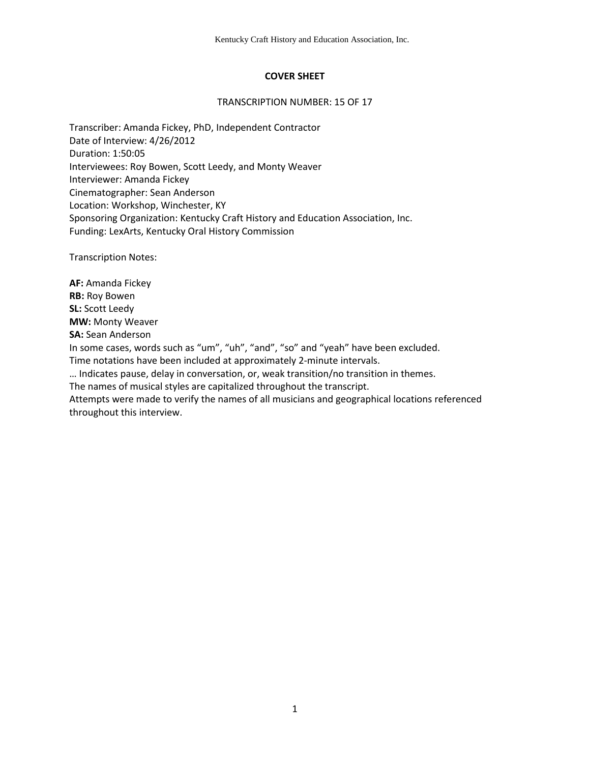# **COVER SHEET**

#### TRANSCRIPTION NUMBER: 15 OF 17

Transcriber: Amanda Fickey, PhD, Independent Contractor Date of Interview: 4/26/2012 Duration: 1:50:05 Interviewees: Roy Bowen, Scott Leedy, and Monty Weaver Interviewer: Amanda Fickey Cinematographer: Sean Anderson Location: Workshop, Winchester, KY Sponsoring Organization: Kentucky Craft History and Education Association, Inc. Funding: LexArts, Kentucky Oral History Commission

Transcription Notes:

**AF:** Amanda Fickey **RB:** Roy Bowen **SL:** Scott Leedy **MW:** Monty Weaver **SA:** Sean Anderson In some cases, words such as "um", "uh", "and", "so" and "yeah" have been excluded. Time notations have been included at approximately 2-minute intervals. … Indicates pause, delay in conversation, or, weak transition/no transition in themes. The names of musical styles are capitalized throughout the transcript.

Attempts were made to verify the names of all musicians and geographical locations referenced throughout this interview.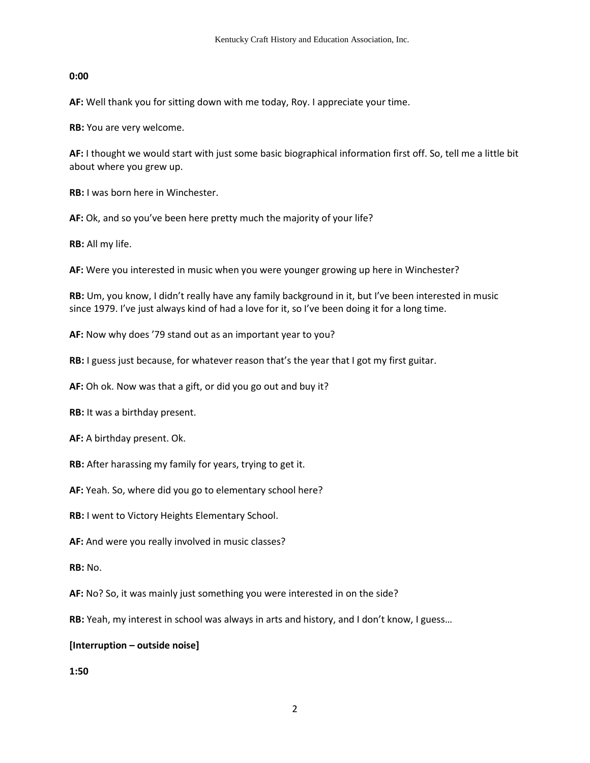### **0:00**

**AF:** Well thank you for sitting down with me today, Roy. I appreciate your time.

**RB:** You are very welcome.

**AF:** I thought we would start with just some basic biographical information first off. So, tell me a little bit about where you grew up.

**RB:** I was born here in Winchester.

**AF:** Ok, and so you've been here pretty much the majority of your life?

**RB:** All my life.

**AF:** Were you interested in music when you were younger growing up here in Winchester?

**RB:** Um, you know, I didn't really have any family background in it, but I've been interested in music since 1979. I've just always kind of had a love for it, so I've been doing it for a long time.

**AF:** Now why does '79 stand out as an important year to you?

**RB:** I guess just because, for whatever reason that's the year that I got my first guitar.

**AF:** Oh ok. Now was that a gift, or did you go out and buy it?

**RB:** It was a birthday present.

**AF:** A birthday present. Ok.

**RB:** After harassing my family for years, trying to get it.

**AF:** Yeah. So, where did you go to elementary school here?

**RB:** I went to Victory Heights Elementary School.

**AF:** And were you really involved in music classes?

**RB:** No.

**AF:** No? So, it was mainly just something you were interested in on the side?

**RB:** Yeah, my interest in school was always in arts and history, and I don't know, I guess…

### **[Interruption – outside noise]**

**1:50**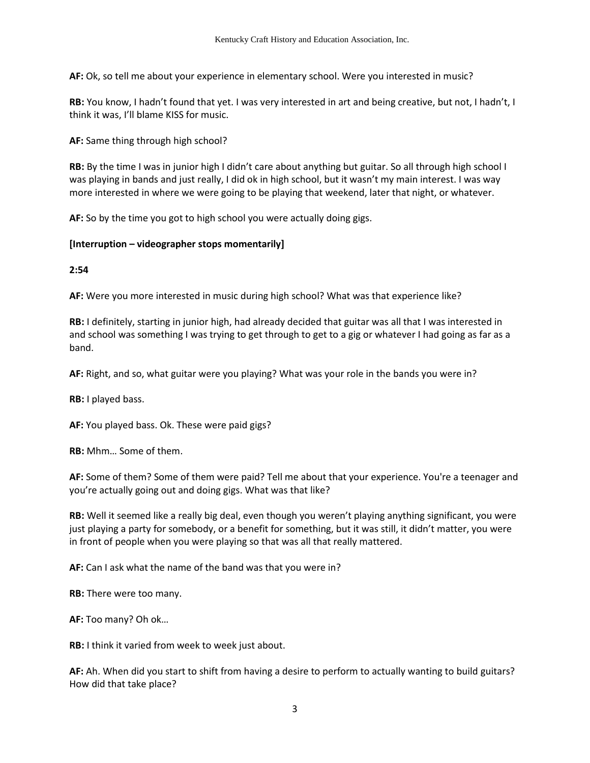**AF:** Ok, so tell me about your experience in elementary school. Were you interested in music?

**RB:** You know, I hadn't found that yet. I was very interested in art and being creative, but not, I hadn't, I think it was, I'll blame KISS for music.

**AF:** Same thing through high school?

**RB:** By the time I was in junior high I didn't care about anything but guitar. So all through high school I was playing in bands and just really, I did ok in high school, but it wasn't my main interest. I was way more interested in where we were going to be playing that weekend, later that night, or whatever.

**AF:** So by the time you got to high school you were actually doing gigs.

#### **[Interruption – videographer stops momentarily]**

**2:54**

**AF:** Were you more interested in music during high school? What was that experience like?

**RB:** I definitely, starting in junior high, had already decided that guitar was all that I was interested in and school was something I was trying to get through to get to a gig or whatever I had going as far as a band.

**AF:** Right, and so, what guitar were you playing? What was your role in the bands you were in?

**RB:** I played bass.

**AF:** You played bass. Ok. These were paid gigs?

**RB:** Mhm… Some of them.

**AF:** Some of them? Some of them were paid? Tell me about that your experience. You're a teenager and you're actually going out and doing gigs. What was that like?

**RB:** Well it seemed like a really big deal, even though you weren't playing anything significant, you were just playing a party for somebody, or a benefit for something, but it was still, it didn't matter, you were in front of people when you were playing so that was all that really mattered.

**AF:** Can I ask what the name of the band was that you were in?

**RB:** There were too many.

**AF:** Too many? Oh ok…

**RB:** I think it varied from week to week just about.

**AF:** Ah. When did you start to shift from having a desire to perform to actually wanting to build guitars? How did that take place?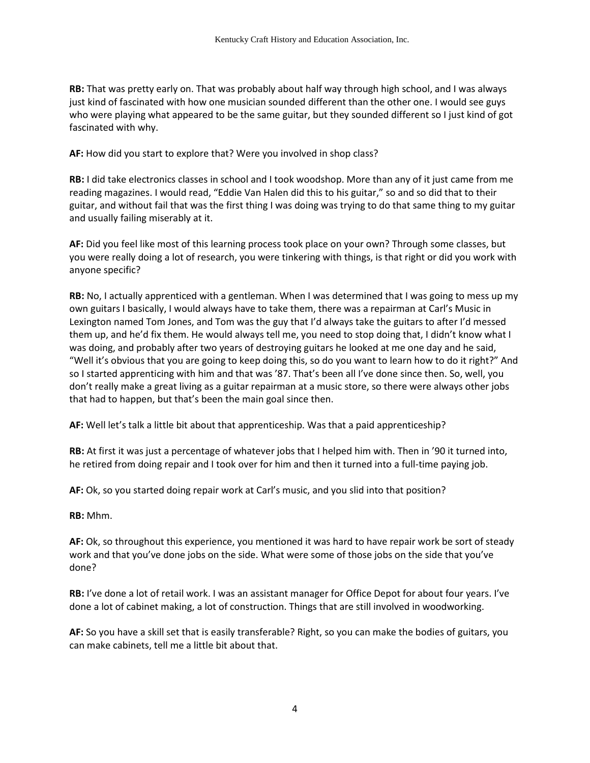**RB:** That was pretty early on. That was probably about half way through high school, and I was always just kind of fascinated with how one musician sounded different than the other one. I would see guys who were playing what appeared to be the same guitar, but they sounded different so I just kind of got fascinated with why.

**AF:** How did you start to explore that? Were you involved in shop class?

**RB:** I did take electronics classes in school and I took woodshop. More than any of it just came from me reading magazines. I would read, "Eddie Van Halen did this to his guitar," so and so did that to their guitar, and without fail that was the first thing I was doing was trying to do that same thing to my guitar and usually failing miserably at it.

**AF:** Did you feel like most of this learning process took place on your own? Through some classes, but you were really doing a lot of research, you were tinkering with things, is that right or did you work with anyone specific?

**RB:** No, I actually apprenticed with a gentleman. When I was determined that I was going to mess up my own guitars I basically, I would always have to take them, there was a repairman at Carl's Music in Lexington named Tom Jones, and Tom was the guy that I'd always take the guitars to after I'd messed them up, and he'd fix them. He would always tell me, you need to stop doing that, I didn't know what I was doing, and probably after two years of destroying guitars he looked at me one day and he said, "Well it's obvious that you are going to keep doing this, so do you want to learn how to do it right?" And so I started apprenticing with him and that was '87. That's been all I've done since then. So, well, you don't really make a great living as a guitar repairman at a music store, so there were always other jobs that had to happen, but that's been the main goal since then.

**AF:** Well let's talk a little bit about that apprenticeship. Was that a paid apprenticeship?

**RB:** At first it was just a percentage of whatever jobs that I helped him with. Then in '90 it turned into, he retired from doing repair and I took over for him and then it turned into a full-time paying job.

**AF:** Ok, so you started doing repair work at Carl's music, and you slid into that position?

**RB:** Mhm.

**AF:** Ok, so throughout this experience, you mentioned it was hard to have repair work be sort of steady work and that you've done jobs on the side. What were some of those jobs on the side that you've done?

**RB:** I've done a lot of retail work. I was an assistant manager for Office Depot for about four years. I've done a lot of cabinet making, a lot of construction. Things that are still involved in woodworking.

**AF:** So you have a skill set that is easily transferable? Right, so you can make the bodies of guitars, you can make cabinets, tell me a little bit about that.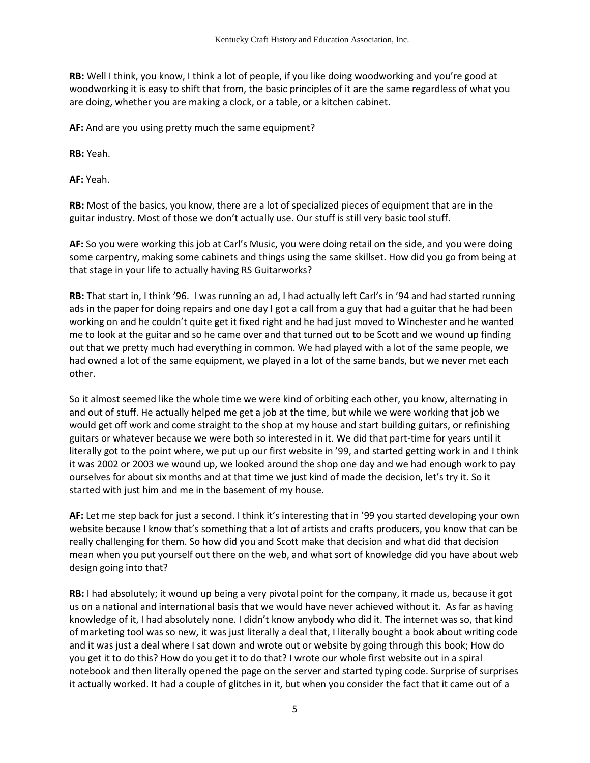**RB:** Well I think, you know, I think a lot of people, if you like doing woodworking and you're good at woodworking it is easy to shift that from, the basic principles of it are the same regardless of what you are doing, whether you are making a clock, or a table, or a kitchen cabinet.

**AF:** And are you using pretty much the same equipment?

**RB:** Yeah.

**AF:** Yeah.

**RB:** Most of the basics, you know, there are a lot of specialized pieces of equipment that are in the guitar industry. Most of those we don't actually use. Our stuff is still very basic tool stuff.

**AF:** So you were working this job at Carl's Music, you were doing retail on the side, and you were doing some carpentry, making some cabinets and things using the same skillset. How did you go from being at that stage in your life to actually having RS Guitarworks?

**RB:** That start in, I think '96. I was running an ad, I had actually left Carl's in '94 and had started running ads in the paper for doing repairs and one day I got a call from a guy that had a guitar that he had been working on and he couldn't quite get it fixed right and he had just moved to Winchester and he wanted me to look at the guitar and so he came over and that turned out to be Scott and we wound up finding out that we pretty much had everything in common. We had played with a lot of the same people, we had owned a lot of the same equipment, we played in a lot of the same bands, but we never met each other.

So it almost seemed like the whole time we were kind of orbiting each other, you know, alternating in and out of stuff. He actually helped me get a job at the time, but while we were working that job we would get off work and come straight to the shop at my house and start building guitars, or refinishing guitars or whatever because we were both so interested in it. We did that part-time for years until it literally got to the point where, we put up our first website in '99, and started getting work in and I think it was 2002 or 2003 we wound up, we looked around the shop one day and we had enough work to pay ourselves for about six months and at that time we just kind of made the decision, let's try it. So it started with just him and me in the basement of my house.

**AF:** Let me step back for just a second. I think it's interesting that in '99 you started developing your own website because I know that's something that a lot of artists and crafts producers, you know that can be really challenging for them. So how did you and Scott make that decision and what did that decision mean when you put yourself out there on the web, and what sort of knowledge did you have about web design going into that?

**RB:** I had absolutely; it wound up being a very pivotal point for the company, it made us, because it got us on a national and international basis that we would have never achieved without it. As far as having knowledge of it, I had absolutely none. I didn't know anybody who did it. The internet was so, that kind of marketing tool was so new, it was just literally a deal that, I literally bought a book about writing code and it was just a deal where I sat down and wrote out or website by going through this book; How do you get it to do this? How do you get it to do that? I wrote our whole first website out in a spiral notebook and then literally opened the page on the server and started typing code. Surprise of surprises it actually worked. It had a couple of glitches in it, but when you consider the fact that it came out of a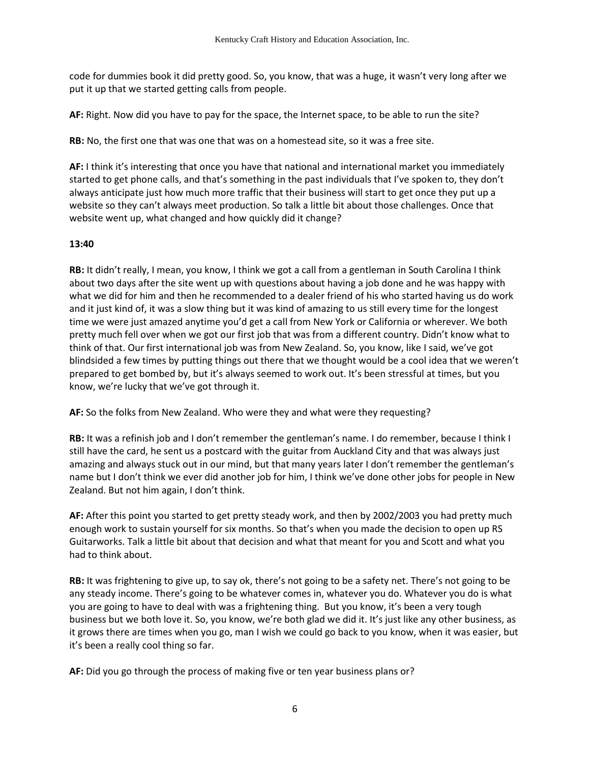code for dummies book it did pretty good. So, you know, that was a huge, it wasn't very long after we put it up that we started getting calls from people.

**AF:** Right. Now did you have to pay for the space, the Internet space, to be able to run the site?

**RB:** No, the first one that was one that was on a homestead site, so it was a free site.

**AF:** I think it's interesting that once you have that national and international market you immediately started to get phone calls, and that's something in the past individuals that I've spoken to, they don't always anticipate just how much more traffic that their business will start to get once they put up a website so they can't always meet production. So talk a little bit about those challenges. Once that website went up, what changed and how quickly did it change?

### **13:40**

**RB:** It didn't really, I mean, you know, I think we got a call from a gentleman in South Carolina I think about two days after the site went up with questions about having a job done and he was happy with what we did for him and then he recommended to a dealer friend of his who started having us do work and it just kind of, it was a slow thing but it was kind of amazing to us still every time for the longest time we were just amazed anytime you'd get a call from New York or California or wherever. We both pretty much fell over when we got our first job that was from a different country. Didn't know what to think of that. Our first international job was from New Zealand. So, you know, like I said, we've got blindsided a few times by putting things out there that we thought would be a cool idea that we weren't prepared to get bombed by, but it's always seemed to work out. It's been stressful at times, but you know, we're lucky that we've got through it.

**AF:** So the folks from New Zealand. Who were they and what were they requesting?

**RB:** It was a refinish job and I don't remember the gentleman's name. I do remember, because I think I still have the card, he sent us a postcard with the guitar from Auckland City and that was always just amazing and always stuck out in our mind, but that many years later I don't remember the gentleman's name but I don't think we ever did another job for him, I think we've done other jobs for people in New Zealand. But not him again, I don't think.

**AF:** After this point you started to get pretty steady work, and then by 2002/2003 you had pretty much enough work to sustain yourself for six months. So that's when you made the decision to open up RS Guitarworks. Talk a little bit about that decision and what that meant for you and Scott and what you had to think about.

**RB:** It was frightening to give up, to say ok, there's not going to be a safety net. There's not going to be any steady income. There's going to be whatever comes in, whatever you do. Whatever you do is what you are going to have to deal with was a frightening thing. But you know, it's been a very tough business but we both love it. So, you know, we're both glad we did it. It's just like any other business, as it grows there are times when you go, man I wish we could go back to you know, when it was easier, but it's been a really cool thing so far.

**AF:** Did you go through the process of making five or ten year business plans or?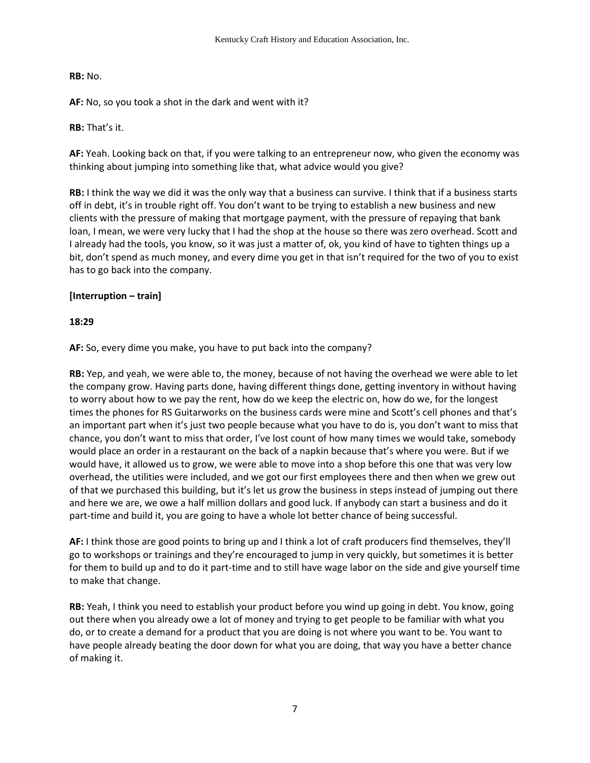**RB:** No.

**AF:** No, so you took a shot in the dark and went with it?

**RB:** That's it.

**AF:** Yeah. Looking back on that, if you were talking to an entrepreneur now, who given the economy was thinking about jumping into something like that, what advice would you give?

**RB:** I think the way we did it was the only way that a business can survive. I think that if a business starts off in debt, it's in trouble right off. You don't want to be trying to establish a new business and new clients with the pressure of making that mortgage payment, with the pressure of repaying that bank loan, I mean, we were very lucky that I had the shop at the house so there was zero overhead. Scott and I already had the tools, you know, so it was just a matter of, ok, you kind of have to tighten things up a bit, don't spend as much money, and every dime you get in that isn't required for the two of you to exist has to go back into the company.

## **[Interruption – train]**

## **18:29**

**AF:** So, every dime you make, you have to put back into the company?

**RB:** Yep, and yeah, we were able to, the money, because of not having the overhead we were able to let the company grow. Having parts done, having different things done, getting inventory in without having to worry about how to we pay the rent, how do we keep the electric on, how do we, for the longest times the phones for RS Guitarworks on the business cards were mine and Scott's cell phones and that's an important part when it's just two people because what you have to do is, you don't want to miss that chance, you don't want to miss that order, I've lost count of how many times we would take, somebody would place an order in a restaurant on the back of a napkin because that's where you were. But if we would have, it allowed us to grow, we were able to move into a shop before this one that was very low overhead, the utilities were included, and we got our first employees there and then when we grew out of that we purchased this building, but it's let us grow the business in steps instead of jumping out there and here we are, we owe a half million dollars and good luck. If anybody can start a business and do it part-time and build it, you are going to have a whole lot better chance of being successful.

**AF:** I think those are good points to bring up and I think a lot of craft producers find themselves, they'll go to workshops or trainings and they're encouraged to jump in very quickly, but sometimes it is better for them to build up and to do it part-time and to still have wage labor on the side and give yourself time to make that change.

**RB:** Yeah, I think you need to establish your product before you wind up going in debt. You know, going out there when you already owe a lot of money and trying to get people to be familiar with what you do, or to create a demand for a product that you are doing is not where you want to be. You want to have people already beating the door down for what you are doing, that way you have a better chance of making it.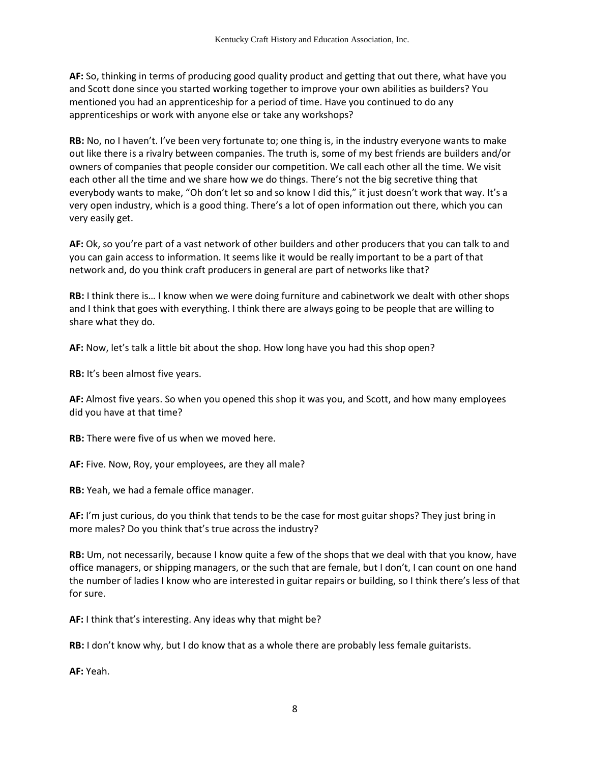**AF:** So, thinking in terms of producing good quality product and getting that out there, what have you and Scott done since you started working together to improve your own abilities as builders? You mentioned you had an apprenticeship for a period of time. Have you continued to do any apprenticeships or work with anyone else or take any workshops?

**RB:** No, no I haven't. I've been very fortunate to; one thing is, in the industry everyone wants to make out like there is a rivalry between companies. The truth is, some of my best friends are builders and/or owners of companies that people consider our competition. We call each other all the time. We visit each other all the time and we share how we do things. There's not the big secretive thing that everybody wants to make, "Oh don't let so and so know I did this," it just doesn't work that way. It's a very open industry, which is a good thing. There's a lot of open information out there, which you can very easily get.

**AF:** Ok, so you're part of a vast network of other builders and other producers that you can talk to and you can gain access to information. It seems like it would be really important to be a part of that network and, do you think craft producers in general are part of networks like that?

**RB:** I think there is… I know when we were doing furniture and cabinetwork we dealt with other shops and I think that goes with everything. I think there are always going to be people that are willing to share what they do.

**AF:** Now, let's talk a little bit about the shop. How long have you had this shop open?

**RB:** It's been almost five years.

**AF:** Almost five years. So when you opened this shop it was you, and Scott, and how many employees did you have at that time?

**RB:** There were five of us when we moved here.

**AF:** Five. Now, Roy, your employees, are they all male?

**RB:** Yeah, we had a female office manager.

**AF:** I'm just curious, do you think that tends to be the case for most guitar shops? They just bring in more males? Do you think that's true across the industry?

**RB:** Um, not necessarily, because I know quite a few of the shops that we deal with that you know, have office managers, or shipping managers, or the such that are female, but I don't, I can count on one hand the number of ladies I know who are interested in guitar repairs or building, so I think there's less of that for sure.

**AF:** I think that's interesting. Any ideas why that might be?

**RB:** I don't know why, but I do know that as a whole there are probably less female guitarists.

**AF:** Yeah.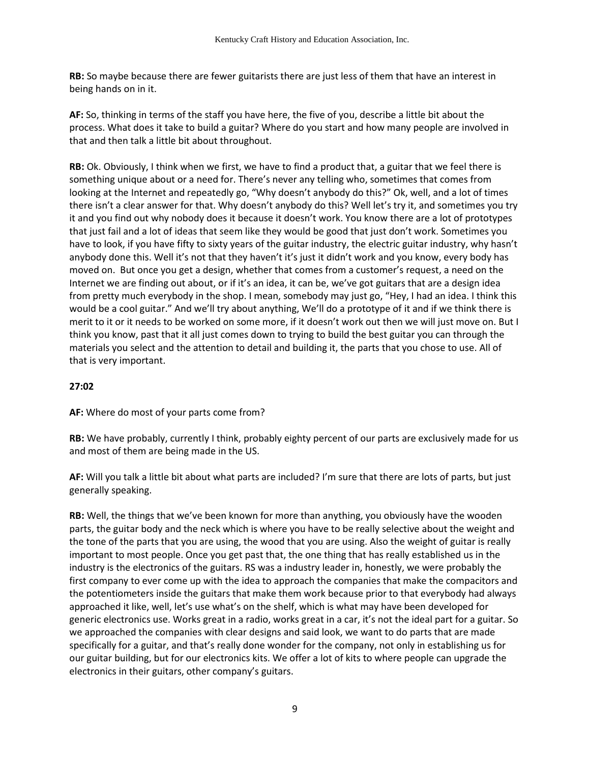**RB:** So maybe because there are fewer guitarists there are just less of them that have an interest in being hands on in it.

**AF:** So, thinking in terms of the staff you have here, the five of you, describe a little bit about the process. What does it take to build a guitar? Where do you start and how many people are involved in that and then talk a little bit about throughout.

**RB:** Ok. Obviously, I think when we first, we have to find a product that, a guitar that we feel there is something unique about or a need for. There's never any telling who, sometimes that comes from looking at the Internet and repeatedly go, "Why doesn't anybody do this?" Ok, well, and a lot of times there isn't a clear answer for that. Why doesn't anybody do this? Well let's try it, and sometimes you try it and you find out why nobody does it because it doesn't work. You know there are a lot of prototypes that just fail and a lot of ideas that seem like they would be good that just don't work. Sometimes you have to look, if you have fifty to sixty years of the guitar industry, the electric guitar industry, why hasn't anybody done this. Well it's not that they haven't it's just it didn't work and you know, every body has moved on. But once you get a design, whether that comes from a customer's request, a need on the Internet we are finding out about, or if it's an idea, it can be, we've got guitars that are a design idea from pretty much everybody in the shop. I mean, somebody may just go, "Hey, I had an idea. I think this would be a cool guitar." And we'll try about anything, We'll do a prototype of it and if we think there is merit to it or it needs to be worked on some more, if it doesn't work out then we will just move on. But I think you know, past that it all just comes down to trying to build the best guitar you can through the materials you select and the attention to detail and building it, the parts that you chose to use. All of that is very important.

# **27:02**

**AF:** Where do most of your parts come from?

**RB:** We have probably, currently I think, probably eighty percent of our parts are exclusively made for us and most of them are being made in the US.

**AF:** Will you talk a little bit about what parts are included? I'm sure that there are lots of parts, but just generally speaking.

**RB:** Well, the things that we've been known for more than anything, you obviously have the wooden parts, the guitar body and the neck which is where you have to be really selective about the weight and the tone of the parts that you are using, the wood that you are using. Also the weight of guitar is really important to most people. Once you get past that, the one thing that has really established us in the industry is the electronics of the guitars. RS was a industry leader in, honestly, we were probably the first company to ever come up with the idea to approach the companies that make the compacitors and the potentiometers inside the guitars that make them work because prior to that everybody had always approached it like, well, let's use what's on the shelf, which is what may have been developed for generic electronics use. Works great in a radio, works great in a car, it's not the ideal part for a guitar. So we approached the companies with clear designs and said look, we want to do parts that are made specifically for a guitar, and that's really done wonder for the company, not only in establishing us for our guitar building, but for our electronics kits. We offer a lot of kits to where people can upgrade the electronics in their guitars, other company's guitars.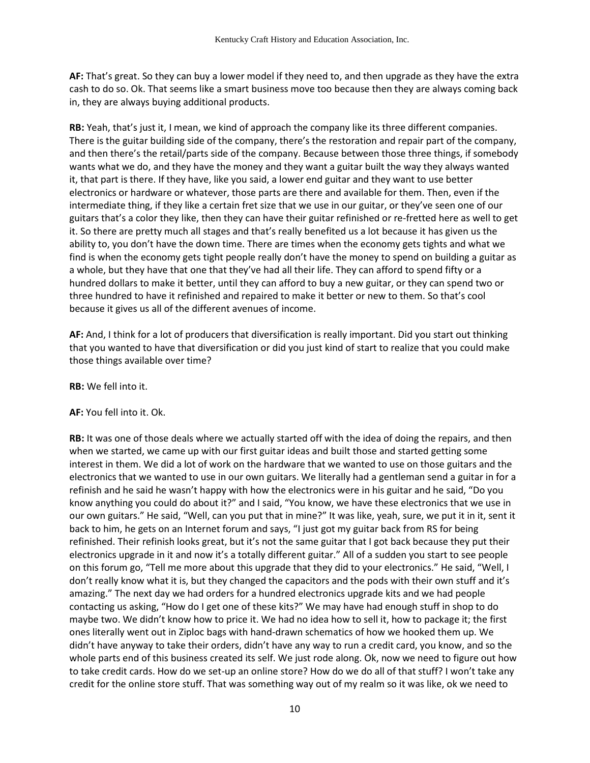**AF:** That's great. So they can buy a lower model if they need to, and then upgrade as they have the extra cash to do so. Ok. That seems like a smart business move too because then they are always coming back in, they are always buying additional products.

**RB:** Yeah, that's just it, I mean, we kind of approach the company like its three different companies. There is the guitar building side of the company, there's the restoration and repair part of the company, and then there's the retail/parts side of the company. Because between those three things, if somebody wants what we do, and they have the money and they want a guitar built the way they always wanted it, that part is there. If they have, like you said, a lower end guitar and they want to use better electronics or hardware or whatever, those parts are there and available for them. Then, even if the intermediate thing, if they like a certain fret size that we use in our guitar, or they've seen one of our guitars that's a color they like, then they can have their guitar refinished or re-fretted here as well to get it. So there are pretty much all stages and that's really benefited us a lot because it has given us the ability to, you don't have the down time. There are times when the economy gets tights and what we find is when the economy gets tight people really don't have the money to spend on building a guitar as a whole, but they have that one that they've had all their life. They can afford to spend fifty or a hundred dollars to make it better, until they can afford to buy a new guitar, or they can spend two or three hundred to have it refinished and repaired to make it better or new to them. So that's cool because it gives us all of the different avenues of income.

**AF:** And, I think for a lot of producers that diversification is really important. Did you start out thinking that you wanted to have that diversification or did you just kind of start to realize that you could make those things available over time?

**RB:** We fell into it.

### **AF:** You fell into it. Ok.

**RB:** It was one of those deals where we actually started off with the idea of doing the repairs, and then when we started, we came up with our first guitar ideas and built those and started getting some interest in them. We did a lot of work on the hardware that we wanted to use on those guitars and the electronics that we wanted to use in our own guitars. We literally had a gentleman send a guitar in for a refinish and he said he wasn't happy with how the electronics were in his guitar and he said, "Do you know anything you could do about it?" and I said, "You know, we have these electronics that we use in our own guitars." He said, "Well, can you put that in mine?" It was like, yeah, sure, we put it in it, sent it back to him, he gets on an Internet forum and says, "I just got my guitar back from RS for being refinished. Their refinish looks great, but it's not the same guitar that I got back because they put their electronics upgrade in it and now it's a totally different guitar." All of a sudden you start to see people on this forum go, "Tell me more about this upgrade that they did to your electronics." He said, "Well, I don't really know what it is, but they changed the capacitors and the pods with their own stuff and it's amazing." The next day we had orders for a hundred electronics upgrade kits and we had people contacting us asking, "How do I get one of these kits?" We may have had enough stuff in shop to do maybe two. We didn't know how to price it. We had no idea how to sell it, how to package it; the first ones literally went out in Ziploc bags with hand-drawn schematics of how we hooked them up. We didn't have anyway to take their orders, didn't have any way to run a credit card, you know, and so the whole parts end of this business created its self. We just rode along. Ok, now we need to figure out how to take credit cards. How do we set-up an online store? How do we do all of that stuff? I won't take any credit for the online store stuff. That was something way out of my realm so it was like, ok we need to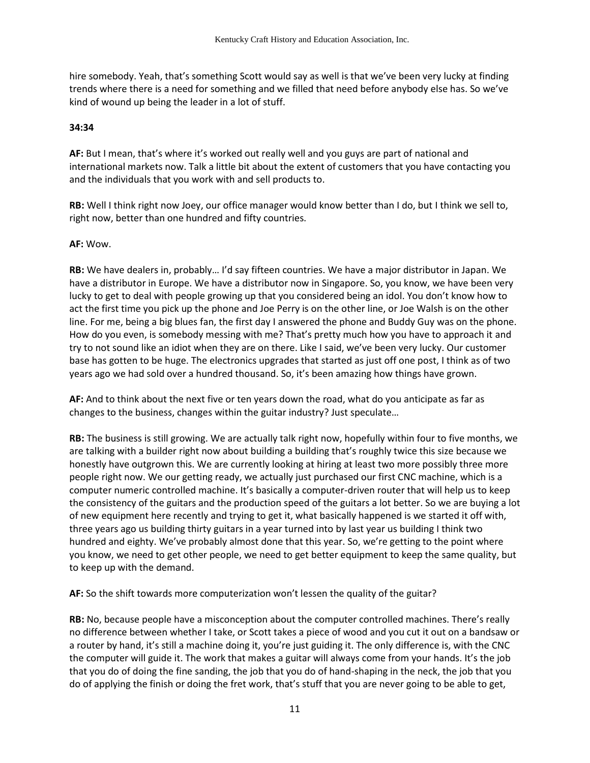hire somebody. Yeah, that's something Scott would say as well is that we've been very lucky at finding trends where there is a need for something and we filled that need before anybody else has. So we've kind of wound up being the leader in a lot of stuff.

#### **34:34**

**AF:** But I mean, that's where it's worked out really well and you guys are part of national and international markets now. Talk a little bit about the extent of customers that you have contacting you and the individuals that you work with and sell products to.

**RB:** Well I think right now Joey, our office manager would know better than I do, but I think we sell to, right now, better than one hundred and fifty countries.

#### **AF:** Wow.

**RB:** We have dealers in, probably… I'd say fifteen countries. We have a major distributor in Japan. We have a distributor in Europe. We have a distributor now in Singapore. So, you know, we have been very lucky to get to deal with people growing up that you considered being an idol. You don't know how to act the first time you pick up the phone and Joe Perry is on the other line, or Joe Walsh is on the other line. For me, being a big blues fan, the first day I answered the phone and Buddy Guy was on the phone. How do you even, is somebody messing with me? That's pretty much how you have to approach it and try to not sound like an idiot when they are on there. Like I said, we've been very lucky. Our customer base has gotten to be huge. The electronics upgrades that started as just off one post, I think as of two years ago we had sold over a hundred thousand. So, it's been amazing how things have grown.

**AF:** And to think about the next five or ten years down the road, what do you anticipate as far as changes to the business, changes within the guitar industry? Just speculate…

**RB:** The business is still growing. We are actually talk right now, hopefully within four to five months, we are talking with a builder right now about building a building that's roughly twice this size because we honestly have outgrown this. We are currently looking at hiring at least two more possibly three more people right now. We our getting ready, we actually just purchased our first CNC machine, which is a computer numeric controlled machine. It's basically a computer-driven router that will help us to keep the consistency of the guitars and the production speed of the guitars a lot better. So we are buying a lot of new equipment here recently and trying to get it, what basically happened is we started it off with, three years ago us building thirty guitars in a year turned into by last year us building I think two hundred and eighty. We've probably almost done that this year. So, we're getting to the point where you know, we need to get other people, we need to get better equipment to keep the same quality, but to keep up with the demand.

**AF:** So the shift towards more computerization won't lessen the quality of the guitar?

**RB:** No, because people have a misconception about the computer controlled machines. There's really no difference between whether I take, or Scott takes a piece of wood and you cut it out on a bandsaw or a router by hand, it's still a machine doing it, you're just guiding it. The only difference is, with the CNC the computer will guide it. The work that makes a guitar will always come from your hands. It's the job that you do of doing the fine sanding, the job that you do of hand-shaping in the neck, the job that you do of applying the finish or doing the fret work, that's stuff that you are never going to be able to get,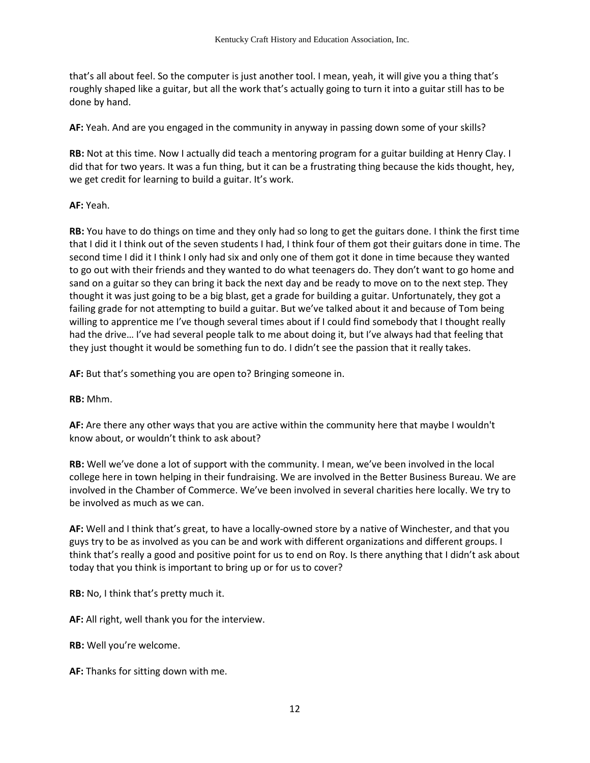that's all about feel. So the computer is just another tool. I mean, yeah, it will give you a thing that's roughly shaped like a guitar, but all the work that's actually going to turn it into a guitar still has to be done by hand.

**AF:** Yeah. And are you engaged in the community in anyway in passing down some of your skills?

**RB:** Not at this time. Now I actually did teach a mentoring program for a guitar building at Henry Clay. I did that for two years. It was a fun thing, but it can be a frustrating thing because the kids thought, hey, we get credit for learning to build a guitar. It's work.

### **AF:** Yeah.

**RB:** You have to do things on time and they only had so long to get the guitars done. I think the first time that I did it I think out of the seven students I had, I think four of them got their guitars done in time. The second time I did it I think I only had six and only one of them got it done in time because they wanted to go out with their friends and they wanted to do what teenagers do. They don't want to go home and sand on a guitar so they can bring it back the next day and be ready to move on to the next step. They thought it was just going to be a big blast, get a grade for building a guitar. Unfortunately, they got a failing grade for not attempting to build a guitar. But we've talked about it and because of Tom being willing to apprentice me I've though several times about if I could find somebody that I thought really had the drive… I've had several people talk to me about doing it, but I've always had that feeling that they just thought it would be something fun to do. I didn't see the passion that it really takes.

**AF:** But that's something you are open to? Bringing someone in.

**RB:** Mhm.

**AF:** Are there any other ways that you are active within the community here that maybe I wouldn't know about, or wouldn't think to ask about?

**RB:** Well we've done a lot of support with the community. I mean, we've been involved in the local college here in town helping in their fundraising. We are involved in the Better Business Bureau. We are involved in the Chamber of Commerce. We've been involved in several charities here locally. We try to be involved as much as we can.

**AF:** Well and I think that's great, to have a locally-owned store by a native of Winchester, and that you guys try to be as involved as you can be and work with different organizations and different groups. I think that's really a good and positive point for us to end on Roy. Is there anything that I didn't ask about today that you think is important to bring up or for us to cover?

**RB:** No, I think that's pretty much it.

**AF:** All right, well thank you for the interview.

**RB:** Well you're welcome.

**AF:** Thanks for sitting down with me.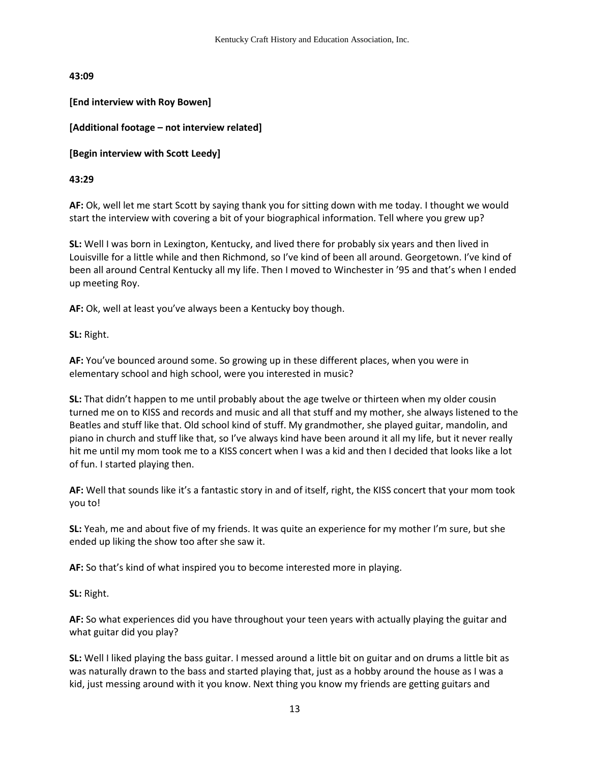**43:09** 

**[End interview with Roy Bowen]** 

# **[Additional footage – not interview related]**

**[Begin interview with Scott Leedy]** 

**43:29**

**AF:** Ok, well let me start Scott by saying thank you for sitting down with me today. I thought we would start the interview with covering a bit of your biographical information. Tell where you grew up?

**SL:** Well I was born in Lexington, Kentucky, and lived there for probably six years and then lived in Louisville for a little while and then Richmond, so I've kind of been all around. Georgetown. I've kind of been all around Central Kentucky all my life. Then I moved to Winchester in '95 and that's when I ended up meeting Roy.

**AF:** Ok, well at least you've always been a Kentucky boy though.

**SL:** Right.

**AF:** You've bounced around some. So growing up in these different places, when you were in elementary school and high school, were you interested in music?

**SL:** That didn't happen to me until probably about the age twelve or thirteen when my older cousin turned me on to KISS and records and music and all that stuff and my mother, she always listened to the Beatles and stuff like that. Old school kind of stuff. My grandmother, she played guitar, mandolin, and piano in church and stuff like that, so I've always kind have been around it all my life, but it never really hit me until my mom took me to a KISS concert when I was a kid and then I decided that looks like a lot of fun. I started playing then.

**AF:** Well that sounds like it's a fantastic story in and of itself, right, the KISS concert that your mom took you to!

**SL:** Yeah, me and about five of my friends. It was quite an experience for my mother I'm sure, but she ended up liking the show too after she saw it.

**AF:** So that's kind of what inspired you to become interested more in playing.

**SL:** Right.

**AF:** So what experiences did you have throughout your teen years with actually playing the guitar and what guitar did you play?

**SL:** Well I liked playing the bass guitar. I messed around a little bit on guitar and on drums a little bit as was naturally drawn to the bass and started playing that, just as a hobby around the house as I was a kid, just messing around with it you know. Next thing you know my friends are getting guitars and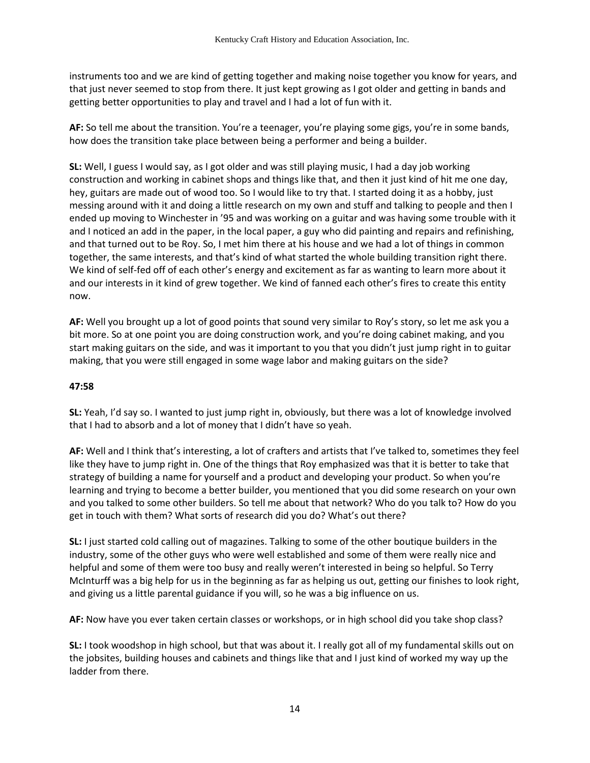instruments too and we are kind of getting together and making noise together you know for years, and that just never seemed to stop from there. It just kept growing as I got older and getting in bands and getting better opportunities to play and travel and I had a lot of fun with it.

**AF:** So tell me about the transition. You're a teenager, you're playing some gigs, you're in some bands, how does the transition take place between being a performer and being a builder.

**SL:** Well, I guess I would say, as I got older and was still playing music, I had a day job working construction and working in cabinet shops and things like that, and then it just kind of hit me one day, hey, guitars are made out of wood too. So I would like to try that. I started doing it as a hobby, just messing around with it and doing a little research on my own and stuff and talking to people and then I ended up moving to Winchester in '95 and was working on a guitar and was having some trouble with it and I noticed an add in the paper, in the local paper, a guy who did painting and repairs and refinishing, and that turned out to be Roy. So, I met him there at his house and we had a lot of things in common together, the same interests, and that's kind of what started the whole building transition right there. We kind of self-fed off of each other's energy and excitement as far as wanting to learn more about it and our interests in it kind of grew together. We kind of fanned each other's fires to create this entity now.

**AF:** Well you brought up a lot of good points that sound very similar to Roy's story, so let me ask you a bit more. So at one point you are doing construction work, and you're doing cabinet making, and you start making guitars on the side, and was it important to you that you didn't just jump right in to guitar making, that you were still engaged in some wage labor and making guitars on the side?

### **47:58**

**SL:** Yeah, I'd say so. I wanted to just jump right in, obviously, but there was a lot of knowledge involved that I had to absorb and a lot of money that I didn't have so yeah.

**AF:** Well and I think that's interesting, a lot of crafters and artists that I've talked to, sometimes they feel like they have to jump right in. One of the things that Roy emphasized was that it is better to take that strategy of building a name for yourself and a product and developing your product. So when you're learning and trying to become a better builder, you mentioned that you did some research on your own and you talked to some other builders. So tell me about that network? Who do you talk to? How do you get in touch with them? What sorts of research did you do? What's out there?

**SL:** I just started cold calling out of magazines. Talking to some of the other boutique builders in the industry, some of the other guys who were well established and some of them were really nice and helpful and some of them were too busy and really weren't interested in being so helpful. So Terry McInturff was a big help for us in the beginning as far as helping us out, getting our finishes to look right, and giving us a little parental guidance if you will, so he was a big influence on us.

**AF:** Now have you ever taken certain classes or workshops, or in high school did you take shop class?

**SL:** I took woodshop in high school, but that was about it. I really got all of my fundamental skills out on the jobsites, building houses and cabinets and things like that and I just kind of worked my way up the ladder from there.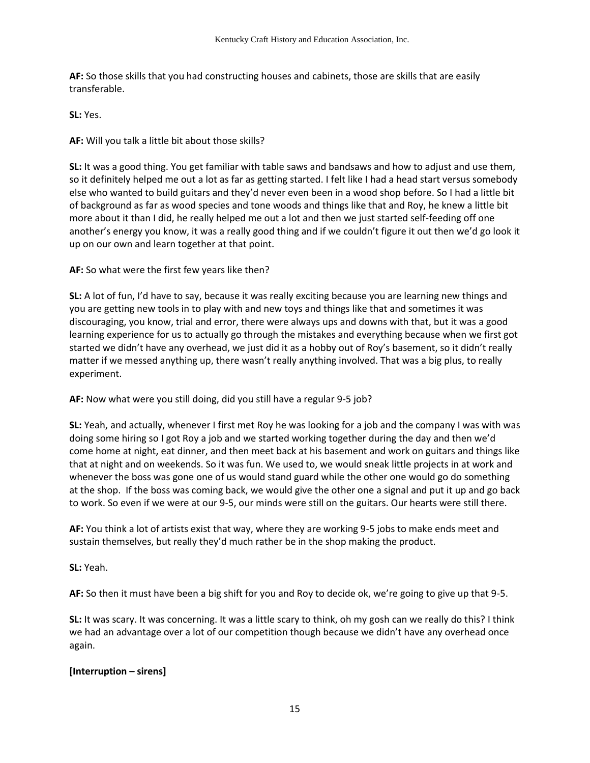**AF:** So those skills that you had constructing houses and cabinets, those are skills that are easily transferable.

**SL:** Yes.

**AF:** Will you talk a little bit about those skills?

**SL:** It was a good thing. You get familiar with table saws and bandsaws and how to adjust and use them, so it definitely helped me out a lot as far as getting started. I felt like I had a head start versus somebody else who wanted to build guitars and they'd never even been in a wood shop before. So I had a little bit of background as far as wood species and tone woods and things like that and Roy, he knew a little bit more about it than I did, he really helped me out a lot and then we just started self-feeding off one another's energy you know, it was a really good thing and if we couldn't figure it out then we'd go look it up on our own and learn together at that point.

**AF:** So what were the first few years like then?

**SL:** A lot of fun, I'd have to say, because it was really exciting because you are learning new things and you are getting new tools in to play with and new toys and things like that and sometimes it was discouraging, you know, trial and error, there were always ups and downs with that, but it was a good learning experience for us to actually go through the mistakes and everything because when we first got started we didn't have any overhead, we just did it as a hobby out of Roy's basement, so it didn't really matter if we messed anything up, there wasn't really anything involved. That was a big plus, to really experiment.

**AF:** Now what were you still doing, did you still have a regular 9-5 job?

**SL:** Yeah, and actually, whenever I first met Roy he was looking for a job and the company I was with was doing some hiring so I got Roy a job and we started working together during the day and then we'd come home at night, eat dinner, and then meet back at his basement and work on guitars and things like that at night and on weekends. So it was fun. We used to, we would sneak little projects in at work and whenever the boss was gone one of us would stand guard while the other one would go do something at the shop. If the boss was coming back, we would give the other one a signal and put it up and go back to work. So even if we were at our 9-5, our minds were still on the guitars. Our hearts were still there.

**AF:** You think a lot of artists exist that way, where they are working 9-5 jobs to make ends meet and sustain themselves, but really they'd much rather be in the shop making the product.

**SL:** Yeah.

**AF:** So then it must have been a big shift for you and Roy to decide ok, we're going to give up that 9-5.

**SL:** It was scary. It was concerning. It was a little scary to think, oh my gosh can we really do this? I think we had an advantage over a lot of our competition though because we didn't have any overhead once again.

### **[Interruption – sirens]**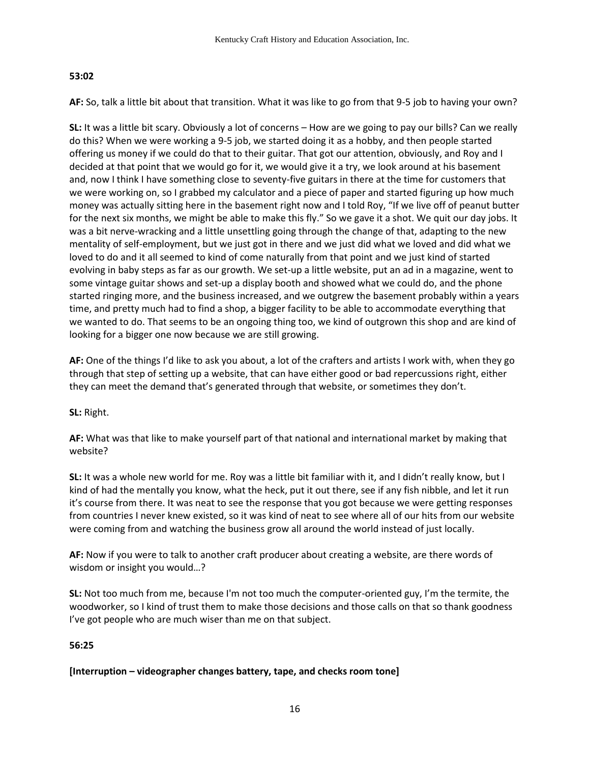### **53:02**

**AF:** So, talk a little bit about that transition. What it was like to go from that 9-5 job to having your own?

**SL:** It was a little bit scary. Obviously a lot of concerns – How are we going to pay our bills? Can we really do this? When we were working a 9-5 job, we started doing it as a hobby, and then people started offering us money if we could do that to their guitar. That got our attention, obviously, and Roy and I decided at that point that we would go for it, we would give it a try, we look around at his basement and, now I think I have something close to seventy-five guitars in there at the time for customers that we were working on, so I grabbed my calculator and a piece of paper and started figuring up how much money was actually sitting here in the basement right now and I told Roy, "If we live off of peanut butter for the next six months, we might be able to make this fly." So we gave it a shot. We quit our day jobs. It was a bit nerve-wracking and a little unsettling going through the change of that, adapting to the new mentality of self-employment, but we just got in there and we just did what we loved and did what we loved to do and it all seemed to kind of come naturally from that point and we just kind of started evolving in baby steps as far as our growth. We set-up a little website, put an ad in a magazine, went to some vintage guitar shows and set-up a display booth and showed what we could do, and the phone started ringing more, and the business increased, and we outgrew the basement probably within a years time, and pretty much had to find a shop, a bigger facility to be able to accommodate everything that we wanted to do. That seems to be an ongoing thing too, we kind of outgrown this shop and are kind of looking for a bigger one now because we are still growing.

**AF:** One of the things I'd like to ask you about, a lot of the crafters and artists I work with, when they go through that step of setting up a website, that can have either good or bad repercussions right, either they can meet the demand that's generated through that website, or sometimes they don't.

### **SL:** Right.

**AF:** What was that like to make yourself part of that national and international market by making that website?

**SL:** It was a whole new world for me. Roy was a little bit familiar with it, and I didn't really know, but I kind of had the mentally you know, what the heck, put it out there, see if any fish nibble, and let it run it's course from there. It was neat to see the response that you got because we were getting responses from countries I never knew existed, so it was kind of neat to see where all of our hits from our website were coming from and watching the business grow all around the world instead of just locally.

**AF:** Now if you were to talk to another craft producer about creating a website, are there words of wisdom or insight you would…?

**SL:** Not too much from me, because I'm not too much the computer-oriented guy, I'm the termite, the woodworker, so I kind of trust them to make those decisions and those calls on that so thank goodness I've got people who are much wiser than me on that subject.

### **56:25**

### **[Interruption – videographer changes battery, tape, and checks room tone]**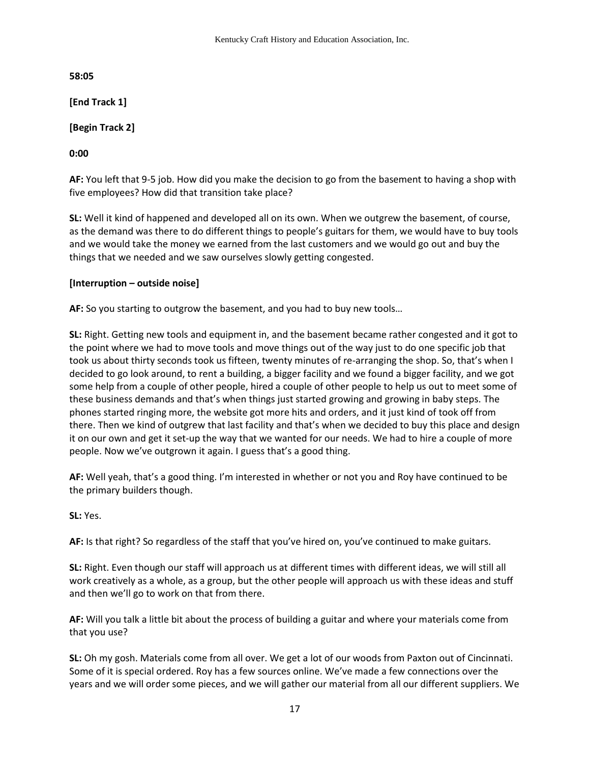**58:05**

**[End Track 1]**

**[Begin Track 2]** 

**0:00** 

**AF:** You left that 9-5 job. How did you make the decision to go from the basement to having a shop with five employees? How did that transition take place?

**SL:** Well it kind of happened and developed all on its own. When we outgrew the basement, of course, as the demand was there to do different things to people's guitars for them, we would have to buy tools and we would take the money we earned from the last customers and we would go out and buy the things that we needed and we saw ourselves slowly getting congested.

## **[Interruption – outside noise]**

**AF:** So you starting to outgrow the basement, and you had to buy new tools…

**SL:** Right. Getting new tools and equipment in, and the basement became rather congested and it got to the point where we had to move tools and move things out of the way just to do one specific job that took us about thirty seconds took us fifteen, twenty minutes of re-arranging the shop. So, that's when I decided to go look around, to rent a building, a bigger facility and we found a bigger facility, and we got some help from a couple of other people, hired a couple of other people to help us out to meet some of these business demands and that's when things just started growing and growing in baby steps. The phones started ringing more, the website got more hits and orders, and it just kind of took off from there. Then we kind of outgrew that last facility and that's when we decided to buy this place and design it on our own and get it set-up the way that we wanted for our needs. We had to hire a couple of more people. Now we've outgrown it again. I guess that's a good thing.

**AF:** Well yeah, that's a good thing. I'm interested in whether or not you and Roy have continued to be the primary builders though.

**SL:** Yes.

**AF:** Is that right? So regardless of the staff that you've hired on, you've continued to make guitars.

**SL:** Right. Even though our staff will approach us at different times with different ideas, we will still all work creatively as a whole, as a group, but the other people will approach us with these ideas and stuff and then we'll go to work on that from there.

**AF:** Will you talk a little bit about the process of building a guitar and where your materials come from that you use?

**SL:** Oh my gosh. Materials come from all over. We get a lot of our woods from Paxton out of Cincinnati. Some of it is special ordered. Roy has a few sources online. We've made a few connections over the years and we will order some pieces, and we will gather our material from all our different suppliers. We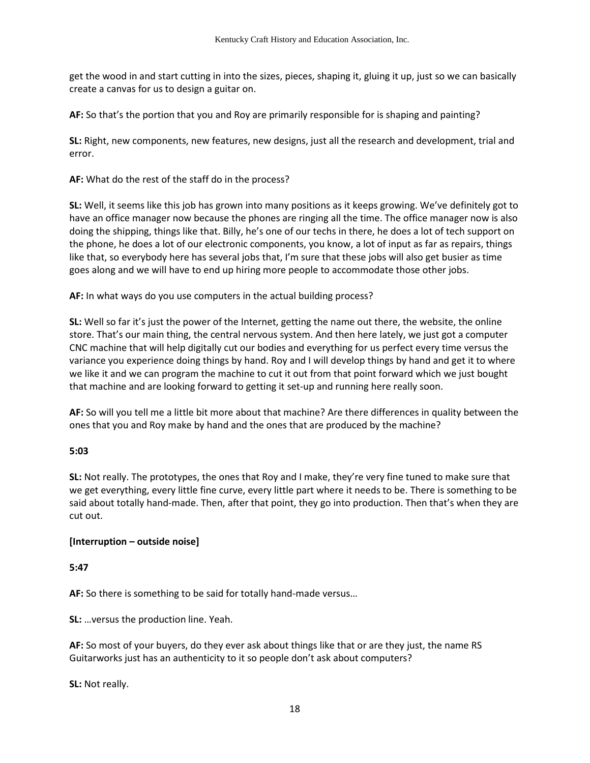get the wood in and start cutting in into the sizes, pieces, shaping it, gluing it up, just so we can basically create a canvas for us to design a guitar on.

**AF:** So that's the portion that you and Roy are primarily responsible for is shaping and painting?

**SL:** Right, new components, new features, new designs, just all the research and development, trial and error.

**AF:** What do the rest of the staff do in the process?

**SL:** Well, it seems like this job has grown into many positions as it keeps growing. We've definitely got to have an office manager now because the phones are ringing all the time. The office manager now is also doing the shipping, things like that. Billy, he's one of our techs in there, he does a lot of tech support on the phone, he does a lot of our electronic components, you know, a lot of input as far as repairs, things like that, so everybody here has several jobs that, I'm sure that these jobs will also get busier as time goes along and we will have to end up hiring more people to accommodate those other jobs.

**AF:** In what ways do you use computers in the actual building process?

**SL:** Well so far it's just the power of the Internet, getting the name out there, the website, the online store. That's our main thing, the central nervous system. And then here lately, we just got a computer CNC machine that will help digitally cut our bodies and everything for us perfect every time versus the variance you experience doing things by hand. Roy and I will develop things by hand and get it to where we like it and we can program the machine to cut it out from that point forward which we just bought that machine and are looking forward to getting it set-up and running here really soon.

**AF:** So will you tell me a little bit more about that machine? Are there differences in quality between the ones that you and Roy make by hand and the ones that are produced by the machine?

### **5:03**

**SL:** Not really. The prototypes, the ones that Roy and I make, they're very fine tuned to make sure that we get everything, every little fine curve, every little part where it needs to be. There is something to be said about totally hand-made. Then, after that point, they go into production. Then that's when they are cut out.

### **[Interruption – outside noise]**

### **5:47**

**AF:** So there is something to be said for totally hand-made versus…

**SL:** …versus the production line. Yeah.

**AF:** So most of your buyers, do they ever ask about things like that or are they just, the name RS Guitarworks just has an authenticity to it so people don't ask about computers?

**SL:** Not really.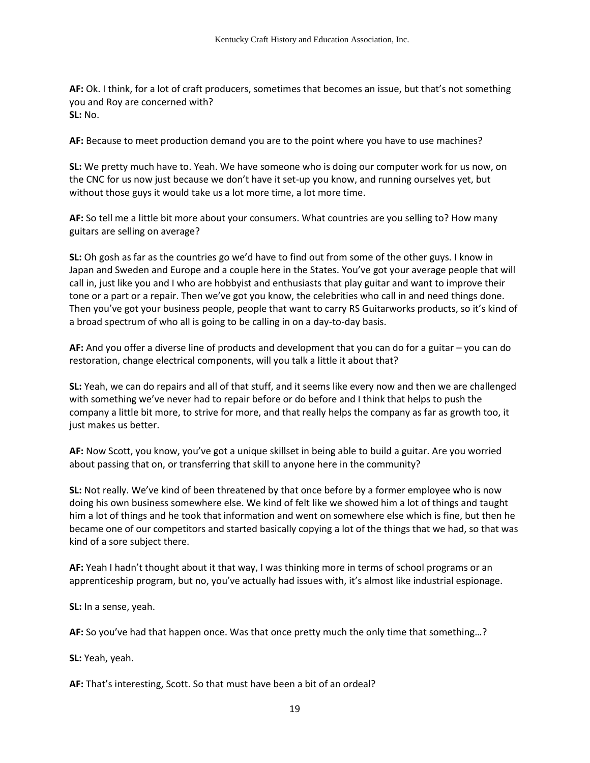**AF:** Ok. I think, for a lot of craft producers, sometimes that becomes an issue, but that's not something you and Roy are concerned with? **SL:** No.

**AF:** Because to meet production demand you are to the point where you have to use machines?

**SL:** We pretty much have to. Yeah. We have someone who is doing our computer work for us now, on the CNC for us now just because we don't have it set-up you know, and running ourselves yet, but without those guys it would take us a lot more time, a lot more time.

**AF:** So tell me a little bit more about your consumers. What countries are you selling to? How many guitars are selling on average?

**SL:** Oh gosh as far as the countries go we'd have to find out from some of the other guys. I know in Japan and Sweden and Europe and a couple here in the States. You've got your average people that will call in, just like you and I who are hobbyist and enthusiasts that play guitar and want to improve their tone or a part or a repair. Then we've got you know, the celebrities who call in and need things done. Then you've got your business people, people that want to carry RS Guitarworks products, so it's kind of a broad spectrum of who all is going to be calling in on a day-to-day basis.

**AF:** And you offer a diverse line of products and development that you can do for a guitar – you can do restoration, change electrical components, will you talk a little it about that?

**SL:** Yeah, we can do repairs and all of that stuff, and it seems like every now and then we are challenged with something we've never had to repair before or do before and I think that helps to push the company a little bit more, to strive for more, and that really helps the company as far as growth too, it just makes us better.

**AF:** Now Scott, you know, you've got a unique skillset in being able to build a guitar. Are you worried about passing that on, or transferring that skill to anyone here in the community?

**SL:** Not really. We've kind of been threatened by that once before by a former employee who is now doing his own business somewhere else. We kind of felt like we showed him a lot of things and taught him a lot of things and he took that information and went on somewhere else which is fine, but then he became one of our competitors and started basically copying a lot of the things that we had, so that was kind of a sore subject there.

**AF:** Yeah I hadn't thought about it that way, I was thinking more in terms of school programs or an apprenticeship program, but no, you've actually had issues with, it's almost like industrial espionage.

**SL:** In a sense, yeah.

**AF:** So you've had that happen once. Was that once pretty much the only time that something…?

**SL:** Yeah, yeah.

**AF:** That's interesting, Scott. So that must have been a bit of an ordeal?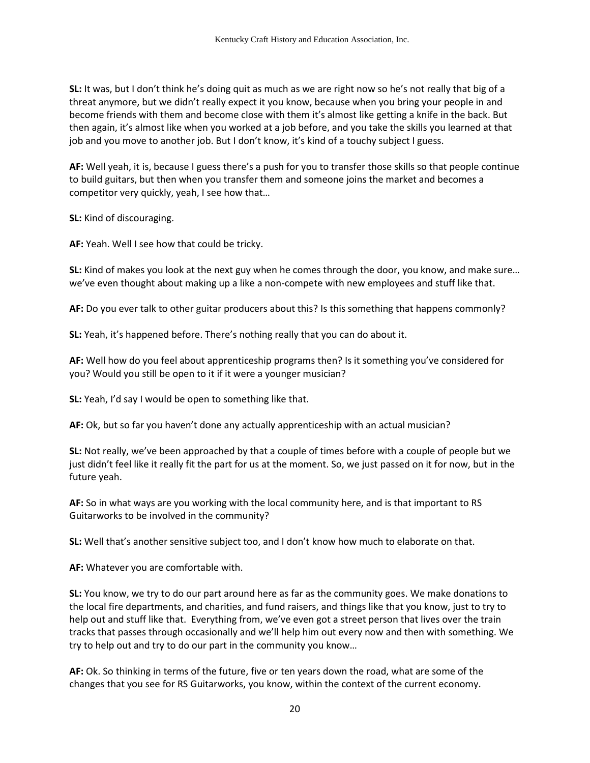**SL:** It was, but I don't think he's doing quit as much as we are right now so he's not really that big of a threat anymore, but we didn't really expect it you know, because when you bring your people in and become friends with them and become close with them it's almost like getting a knife in the back. But then again, it's almost like when you worked at a job before, and you take the skills you learned at that job and you move to another job. But I don't know, it's kind of a touchy subject I guess.

**AF:** Well yeah, it is, because I guess there's a push for you to transfer those skills so that people continue to build guitars, but then when you transfer them and someone joins the market and becomes a competitor very quickly, yeah, I see how that…

**SL:** Kind of discouraging.

**AF:** Yeah. Well I see how that could be tricky.

**SL:** Kind of makes you look at the next guy when he comes through the door, you know, and make sure… we've even thought about making up a like a non-compete with new employees and stuff like that.

**AF:** Do you ever talk to other guitar producers about this? Is this something that happens commonly?

**SL:** Yeah, it's happened before. There's nothing really that you can do about it.

**AF:** Well how do you feel about apprenticeship programs then? Is it something you've considered for you? Would you still be open to it if it were a younger musician?

**SL:** Yeah, I'd say I would be open to something like that.

**AF:** Ok, but so far you haven't done any actually apprenticeship with an actual musician?

**SL:** Not really, we've been approached by that a couple of times before with a couple of people but we just didn't feel like it really fit the part for us at the moment. So, we just passed on it for now, but in the future yeah.

**AF:** So in what ways are you working with the local community here, and is that important to RS Guitarworks to be involved in the community?

**SL:** Well that's another sensitive subject too, and I don't know how much to elaborate on that.

**AF:** Whatever you are comfortable with.

**SL:** You know, we try to do our part around here as far as the community goes. We make donations to the local fire departments, and charities, and fund raisers, and things like that you know, just to try to help out and stuff like that. Everything from, we've even got a street person that lives over the train tracks that passes through occasionally and we'll help him out every now and then with something. We try to help out and try to do our part in the community you know…

**AF:** Ok. So thinking in terms of the future, five or ten years down the road, what are some of the changes that you see for RS Guitarworks, you know, within the context of the current economy.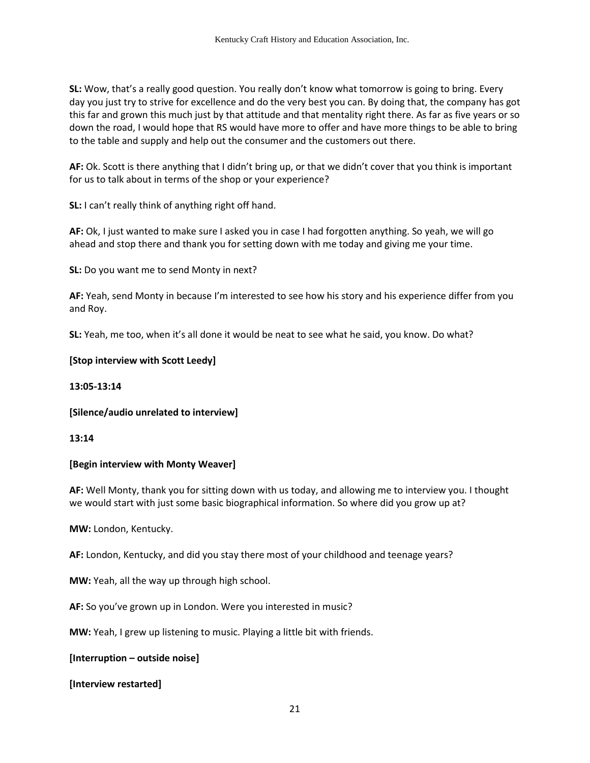**SL:** Wow, that's a really good question. You really don't know what tomorrow is going to bring. Every day you just try to strive for excellence and do the very best you can. By doing that, the company has got this far and grown this much just by that attitude and that mentality right there. As far as five years or so down the road, I would hope that RS would have more to offer and have more things to be able to bring to the table and supply and help out the consumer and the customers out there.

**AF:** Ok. Scott is there anything that I didn't bring up, or that we didn't cover that you think is important for us to talk about in terms of the shop or your experience?

**SL:** I can't really think of anything right off hand.

**AF:** Ok, I just wanted to make sure I asked you in case I had forgotten anything. So yeah, we will go ahead and stop there and thank you for setting down with me today and giving me your time.

**SL:** Do you want me to send Monty in next?

**AF:** Yeah, send Monty in because I'm interested to see how his story and his experience differ from you and Roy.

**SL:** Yeah, me too, when it's all done it would be neat to see what he said, you know. Do what?

### **[Stop interview with Scott Leedy]**

**13:05-13:14**

**[Silence/audio unrelated to interview]** 

**13:14**

### **[Begin interview with Monty Weaver]**

**AF:** Well Monty, thank you for sitting down with us today, and allowing me to interview you. I thought we would start with just some basic biographical information. So where did you grow up at?

**MW:** London, Kentucky.

**AF:** London, Kentucky, and did you stay there most of your childhood and teenage years?

**MW:** Yeah, all the way up through high school.

**AF:** So you've grown up in London. Were you interested in music?

**MW:** Yeah, I grew up listening to music. Playing a little bit with friends.

**[Interruption – outside noise]** 

**[Interview restarted]**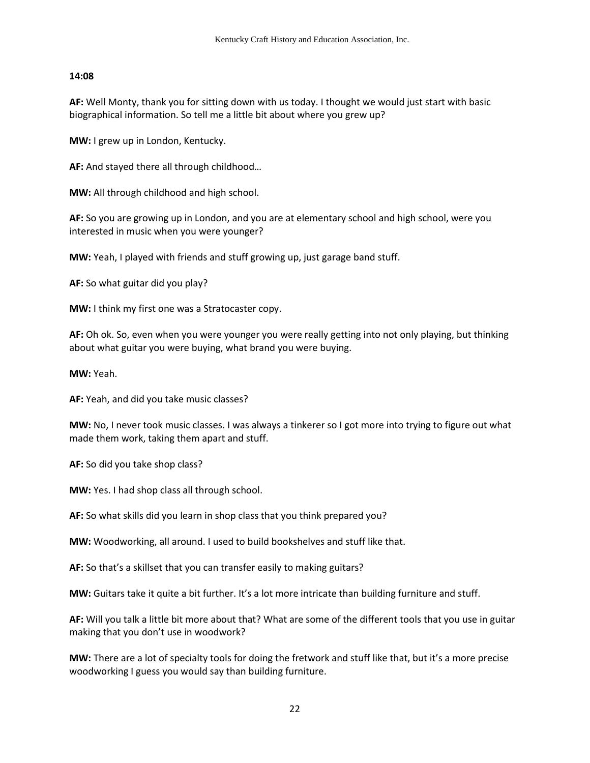#### **14:08**

**AF:** Well Monty, thank you for sitting down with us today. I thought we would just start with basic biographical information. So tell me a little bit about where you grew up?

**MW:** I grew up in London, Kentucky.

**AF:** And stayed there all through childhood…

**MW:** All through childhood and high school.

**AF:** So you are growing up in London, and you are at elementary school and high school, were you interested in music when you were younger?

**MW:** Yeah, I played with friends and stuff growing up, just garage band stuff.

**AF:** So what guitar did you play?

**MW:** I think my first one was a Stratocaster copy.

**AF:** Oh ok. So, even when you were younger you were really getting into not only playing, but thinking about what guitar you were buying, what brand you were buying.

**MW:** Yeah.

**AF:** Yeah, and did you take music classes?

**MW:** No, I never took music classes. I was always a tinkerer so I got more into trying to figure out what made them work, taking them apart and stuff.

**AF:** So did you take shop class?

**MW:** Yes. I had shop class all through school.

**AF:** So what skills did you learn in shop class that you think prepared you?

**MW:** Woodworking, all around. I used to build bookshelves and stuff like that.

**AF:** So that's a skillset that you can transfer easily to making guitars?

**MW:** Guitars take it quite a bit further. It's a lot more intricate than building furniture and stuff.

**AF:** Will you talk a little bit more about that? What are some of the different tools that you use in guitar making that you don't use in woodwork?

**MW:** There are a lot of specialty tools for doing the fretwork and stuff like that, but it's a more precise woodworking I guess you would say than building furniture.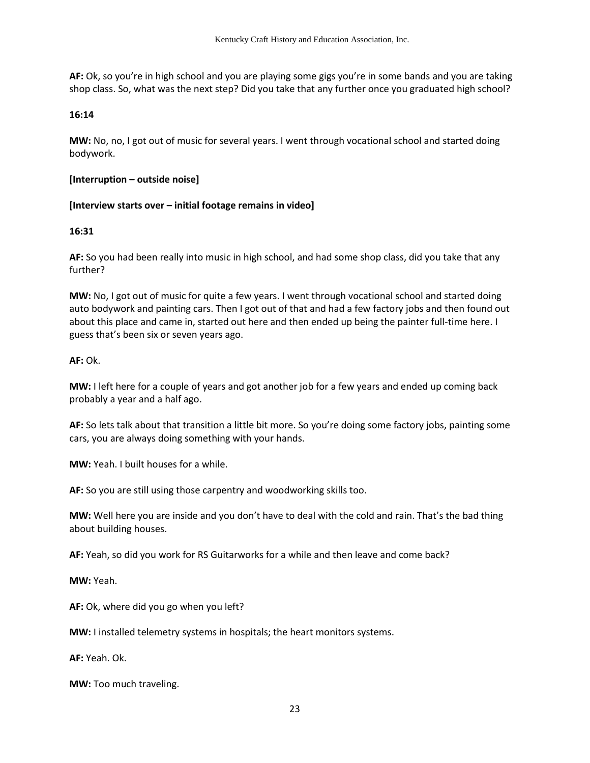**AF:** Ok, so you're in high school and you are playing some gigs you're in some bands and you are taking shop class. So, what was the next step? Did you take that any further once you graduated high school?

#### **16:14**

**MW:** No, no, I got out of music for several years. I went through vocational school and started doing bodywork.

#### **[Interruption – outside noise]**

### **[Interview starts over – initial footage remains in video]**

#### **16:31**

**AF:** So you had been really into music in high school, and had some shop class, did you take that any further?

**MW:** No, I got out of music for quite a few years. I went through vocational school and started doing auto bodywork and painting cars. Then I got out of that and had a few factory jobs and then found out about this place and came in, started out here and then ended up being the painter full-time here. I guess that's been six or seven years ago.

#### **AF:** Ok.

**MW:** I left here for a couple of years and got another job for a few years and ended up coming back probably a year and a half ago.

**AF:** So lets talk about that transition a little bit more. So you're doing some factory jobs, painting some cars, you are always doing something with your hands.

**MW:** Yeah. I built houses for a while.

**AF:** So you are still using those carpentry and woodworking skills too.

**MW:** Well here you are inside and you don't have to deal with the cold and rain. That's the bad thing about building houses.

**AF:** Yeah, so did you work for RS Guitarworks for a while and then leave and come back?

**MW:** Yeah.

**AF:** Ok, where did you go when you left?

**MW:** I installed telemetry systems in hospitals; the heart monitors systems.

**AF:** Yeah. Ok.

**MW:** Too much traveling.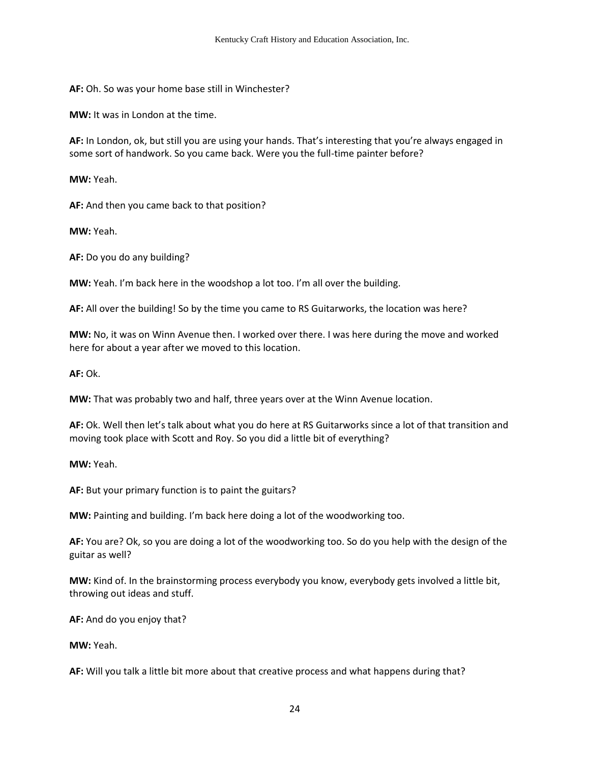**AF:** Oh. So was your home base still in Winchester?

**MW:** It was in London at the time.

**AF:** In London, ok, but still you are using your hands. That's interesting that you're always engaged in some sort of handwork. So you came back. Were you the full-time painter before?

**MW:** Yeah.

**AF:** And then you came back to that position?

**MW:** Yeah.

**AF:** Do you do any building?

**MW:** Yeah. I'm back here in the woodshop a lot too. I'm all over the building.

**AF:** All over the building! So by the time you came to RS Guitarworks, the location was here?

**MW:** No, it was on Winn Avenue then. I worked over there. I was here during the move and worked here for about a year after we moved to this location.

**AF:** Ok.

**MW:** That was probably two and half, three years over at the Winn Avenue location.

**AF:** Ok. Well then let's talk about what you do here at RS Guitarworks since a lot of that transition and moving took place with Scott and Roy. So you did a little bit of everything?

**MW:** Yeah.

**AF:** But your primary function is to paint the guitars?

**MW:** Painting and building. I'm back here doing a lot of the woodworking too.

**AF:** You are? Ok, so you are doing a lot of the woodworking too. So do you help with the design of the guitar as well?

**MW:** Kind of. In the brainstorming process everybody you know, everybody gets involved a little bit, throwing out ideas and stuff.

**AF:** And do you enjoy that?

**MW:** Yeah.

**AF:** Will you talk a little bit more about that creative process and what happens during that?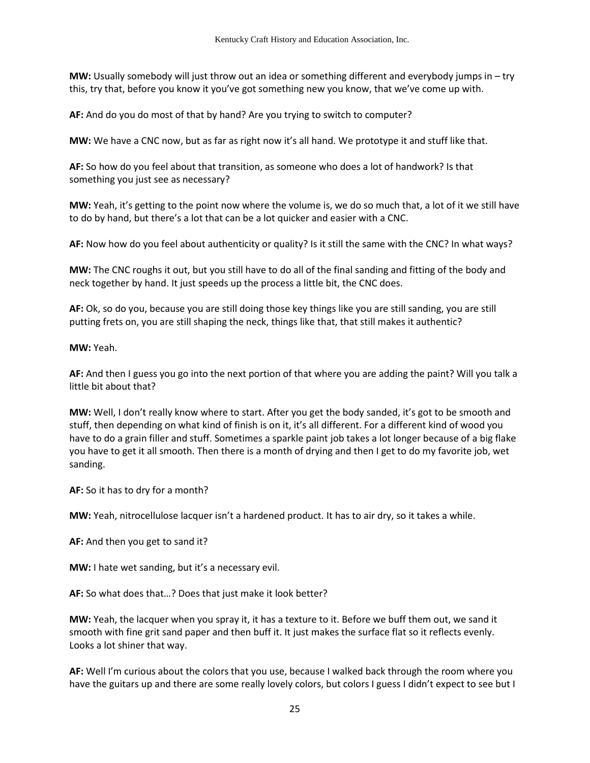**MW:** Usually somebody will just throw out an idea or something different and everybody jumps in – try this, try that, before you know it you've got something new you know, that we've come up with.

**AF:** And do you do most of that by hand? Are you trying to switch to computer?

**MW:** We have a CNC now, but as far as right now it's all hand. We prototype it and stuff like that.

**AF:** So how do you feel about that transition, as someone who does a lot of handwork? Is that something you just see as necessary?

**MW:** Yeah, it's getting to the point now where the volume is, we do so much that, a lot of it we still have to do by hand, but there's a lot that can be a lot quicker and easier with a CNC.

**AF:** Now how do you feel about authenticity or quality? Is it still the same with the CNC? In what ways?

**MW:** The CNC roughs it out, but you still have to do all of the final sanding and fitting of the body and neck together by hand. It just speeds up the process a little bit, the CNC does.

**AF:** Ok, so do you, because you are still doing those key things like you are still sanding, you are still putting frets on, you are still shaping the neck, things like that, that still makes it authentic?

**MW:** Yeah.

**AF:** And then I guess you go into the next portion of that where you are adding the paint? Will you talk a little bit about that?

**MW:** Well, I don't really know where to start. After you get the body sanded, it's got to be smooth and stuff, then depending on what kind of finish is on it, it's all different. For a different kind of wood you have to do a grain filler and stuff. Sometimes a sparkle paint job takes a lot longer because of a big flake you have to get it all smooth. Then there is a month of drying and then I get to do my favorite job, wet sanding.

**AF:** So it has to dry for a month?

**MW:** Yeah, nitrocellulose lacquer isn't a hardened product. It has to air dry, so it takes a while.

**AF:** And then you get to sand it?

**MW:** I hate wet sanding, but it's a necessary evil.

**AF:** So what does that…? Does that just make it look better?

**MW:** Yeah, the lacquer when you spray it, it has a texture to it. Before we buff them out, we sand it smooth with fine grit sand paper and then buff it. It just makes the surface flat so it reflects evenly. Looks a lot shiner that way.

**AF:** Well I'm curious about the colors that you use, because I walked back through the room where you have the guitars up and there are some really lovely colors, but colors I guess I didn't expect to see but I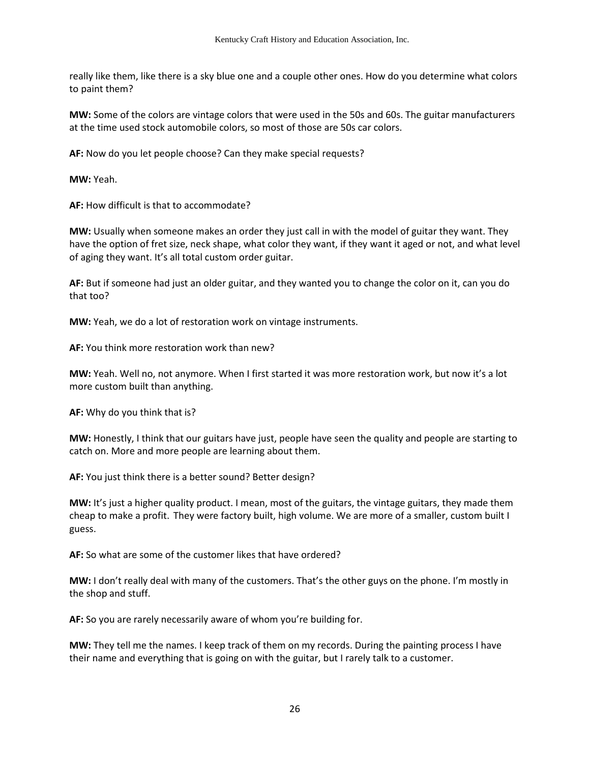really like them, like there is a sky blue one and a couple other ones. How do you determine what colors to paint them?

**MW:** Some of the colors are vintage colors that were used in the 50s and 60s. The guitar manufacturers at the time used stock automobile colors, so most of those are 50s car colors.

**AF:** Now do you let people choose? Can they make special requests?

**MW:** Yeah.

**AF:** How difficult is that to accommodate?

**MW:** Usually when someone makes an order they just call in with the model of guitar they want. They have the option of fret size, neck shape, what color they want, if they want it aged or not, and what level of aging they want. It's all total custom order guitar.

**AF:** But if someone had just an older guitar, and they wanted you to change the color on it, can you do that too?

**MW:** Yeah, we do a lot of restoration work on vintage instruments.

**AF:** You think more restoration work than new?

**MW:** Yeah. Well no, not anymore. When I first started it was more restoration work, but now it's a lot more custom built than anything.

**AF:** Why do you think that is?

**MW:** Honestly, I think that our guitars have just, people have seen the quality and people are starting to catch on. More and more people are learning about them.

**AF:** You just think there is a better sound? Better design?

**MW:** It's just a higher quality product. I mean, most of the guitars, the vintage guitars, they made them cheap to make a profit. They were factory built, high volume. We are more of a smaller, custom built I guess.

**AF:** So what are some of the customer likes that have ordered?

**MW:** I don't really deal with many of the customers. That's the other guys on the phone. I'm mostly in the shop and stuff.

**AF:** So you are rarely necessarily aware of whom you're building for.

**MW:** They tell me the names. I keep track of them on my records. During the painting process I have their name and everything that is going on with the guitar, but I rarely talk to a customer.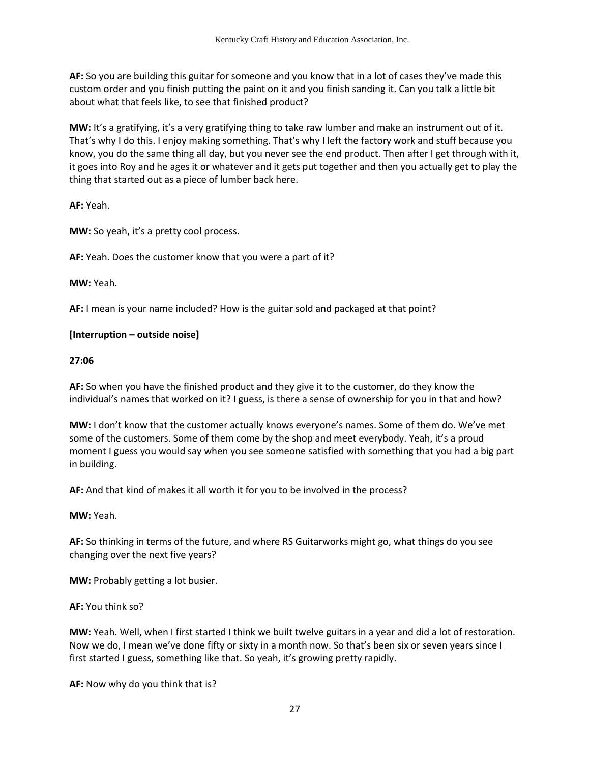**AF:** So you are building this guitar for someone and you know that in a lot of cases they've made this custom order and you finish putting the paint on it and you finish sanding it. Can you talk a little bit about what that feels like, to see that finished product?

**MW:** It's a gratifying, it's a very gratifying thing to take raw lumber and make an instrument out of it. That's why I do this. I enjoy making something. That's why I left the factory work and stuff because you know, you do the same thing all day, but you never see the end product. Then after I get through with it, it goes into Roy and he ages it or whatever and it gets put together and then you actually get to play the thing that started out as a piece of lumber back here.

**AF:** Yeah.

**MW:** So yeah, it's a pretty cool process.

**AF:** Yeah. Does the customer know that you were a part of it?

**MW:** Yeah.

**AF:** I mean is your name included? How is the guitar sold and packaged at that point?

## **[Interruption – outside noise]**

### **27:06**

**AF:** So when you have the finished product and they give it to the customer, do they know the individual's names that worked on it? I guess, is there a sense of ownership for you in that and how?

**MW:** I don't know that the customer actually knows everyone's names. Some of them do. We've met some of the customers. Some of them come by the shop and meet everybody. Yeah, it's a proud moment I guess you would say when you see someone satisfied with something that you had a big part in building.

**AF:** And that kind of makes it all worth it for you to be involved in the process?

**MW:** Yeah.

**AF:** So thinking in terms of the future, and where RS Guitarworks might go, what things do you see changing over the next five years?

**MW:** Probably getting a lot busier.

**AF:** You think so?

**MW:** Yeah. Well, when I first started I think we built twelve guitars in a year and did a lot of restoration. Now we do, I mean we've done fifty or sixty in a month now. So that's been six or seven years since I first started I guess, something like that. So yeah, it's growing pretty rapidly.

**AF:** Now why do you think that is?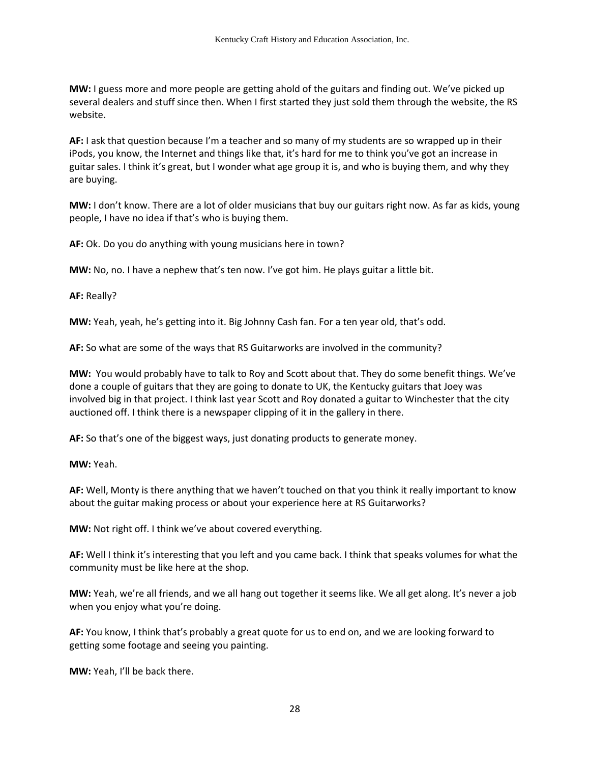**MW:** I guess more and more people are getting ahold of the guitars and finding out. We've picked up several dealers and stuff since then. When I first started they just sold them through the website, the RS website.

**AF:** I ask that question because I'm a teacher and so many of my students are so wrapped up in their iPods, you know, the Internet and things like that, it's hard for me to think you've got an increase in guitar sales. I think it's great, but I wonder what age group it is, and who is buying them, and why they are buying.

**MW:** I don't know. There are a lot of older musicians that buy our guitars right now. As far as kids, young people, I have no idea if that's who is buying them.

**AF:** Ok. Do you do anything with young musicians here in town?

**MW:** No, no. I have a nephew that's ten now. I've got him. He plays guitar a little bit.

**AF:** Really?

**MW:** Yeah, yeah, he's getting into it. Big Johnny Cash fan. For a ten year old, that's odd.

**AF:** So what are some of the ways that RS Guitarworks are involved in the community?

**MW:** You would probably have to talk to Roy and Scott about that. They do some benefit things. We've done a couple of guitars that they are going to donate to UK, the Kentucky guitars that Joey was involved big in that project. I think last year Scott and Roy donated a guitar to Winchester that the city auctioned off. I think there is a newspaper clipping of it in the gallery in there.

**AF:** So that's one of the biggest ways, just donating products to generate money.

**MW:** Yeah.

**AF:** Well, Monty is there anything that we haven't touched on that you think it really important to know about the guitar making process or about your experience here at RS Guitarworks?

**MW:** Not right off. I think we've about covered everything.

**AF:** Well I think it's interesting that you left and you came back. I think that speaks volumes for what the community must be like here at the shop.

**MW:** Yeah, we're all friends, and we all hang out together it seems like. We all get along. It's never a job when you enjoy what you're doing.

**AF:** You know, I think that's probably a great quote for us to end on, and we are looking forward to getting some footage and seeing you painting.

**MW:** Yeah, I'll be back there.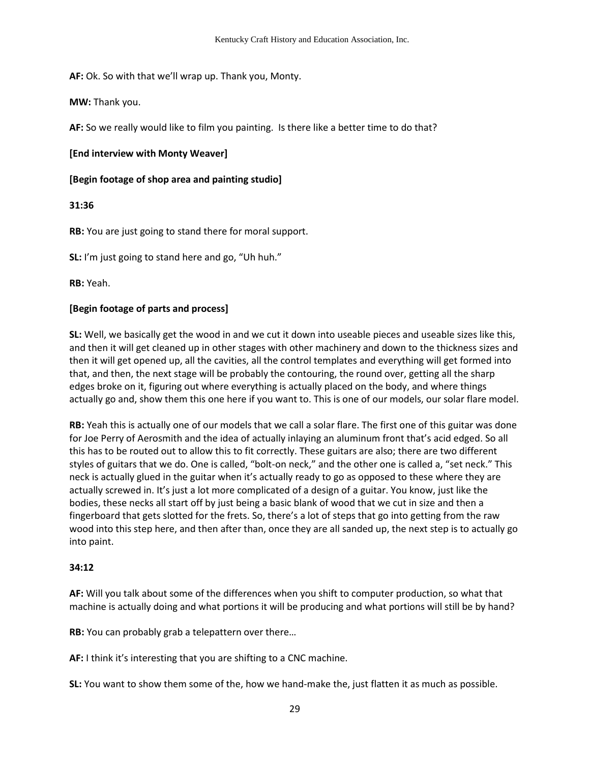**AF:** Ok. So with that we'll wrap up. Thank you, Monty.

**MW:** Thank you.

**AF:** So we really would like to film you painting. Is there like a better time to do that?

### **[End interview with Monty Weaver]**

**[Begin footage of shop area and painting studio]** 

## **31:36**

**RB:** You are just going to stand there for moral support.

**SL:** I'm just going to stand here and go, "Uh huh."

**RB:** Yeah.

## **[Begin footage of parts and process]**

**SL:** Well, we basically get the wood in and we cut it down into useable pieces and useable sizes like this, and then it will get cleaned up in other stages with other machinery and down to the thickness sizes and then it will get opened up, all the cavities, all the control templates and everything will get formed into that, and then, the next stage will be probably the contouring, the round over, getting all the sharp edges broke on it, figuring out where everything is actually placed on the body, and where things actually go and, show them this one here if you want to. This is one of our models, our solar flare model.

**RB:** Yeah this is actually one of our models that we call a solar flare. The first one of this guitar was done for Joe Perry of Aerosmith and the idea of actually inlaying an aluminum front that's acid edged. So all this has to be routed out to allow this to fit correctly. These guitars are also; there are two different styles of guitars that we do. One is called, "bolt-on neck," and the other one is called a, "set neck." This neck is actually glued in the guitar when it's actually ready to go as opposed to these where they are actually screwed in. It's just a lot more complicated of a design of a guitar. You know, just like the bodies, these necks all start off by just being a basic blank of wood that we cut in size and then a fingerboard that gets slotted for the frets. So, there's a lot of steps that go into getting from the raw wood into this step here, and then after than, once they are all sanded up, the next step is to actually go into paint.

### **34:12**

**AF:** Will you talk about some of the differences when you shift to computer production, so what that machine is actually doing and what portions it will be producing and what portions will still be by hand?

**RB:** You can probably grab a telepattern over there…

**AF:** I think it's interesting that you are shifting to a CNC machine.

**SL:** You want to show them some of the, how we hand-make the, just flatten it as much as possible.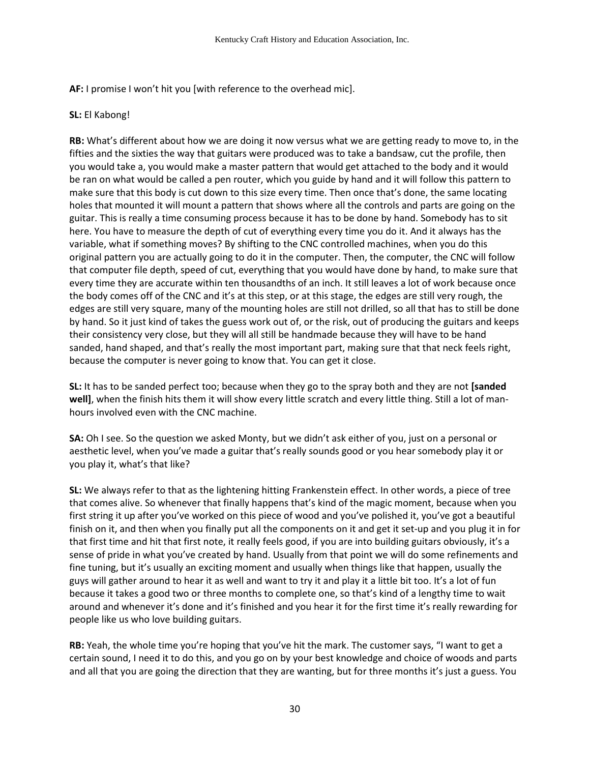**AF:** I promise I won't hit you [with reference to the overhead mic].

## **SL:** El Kabong!

**RB:** What's different about how we are doing it now versus what we are getting ready to move to, in the fifties and the sixties the way that guitars were produced was to take a bandsaw, cut the profile, then you would take a, you would make a master pattern that would get attached to the body and it would be ran on what would be called a pen router, which you guide by hand and it will follow this pattern to make sure that this body is cut down to this size every time. Then once that's done, the same locating holes that mounted it will mount a pattern that shows where all the controls and parts are going on the guitar. This is really a time consuming process because it has to be done by hand. Somebody has to sit here. You have to measure the depth of cut of everything every time you do it. And it always has the variable, what if something moves? By shifting to the CNC controlled machines, when you do this original pattern you are actually going to do it in the computer. Then, the computer, the CNC will follow that computer file depth, speed of cut, everything that you would have done by hand, to make sure that every time they are accurate within ten thousandths of an inch. It still leaves a lot of work because once the body comes off of the CNC and it's at this step, or at this stage, the edges are still very rough, the edges are still very square, many of the mounting holes are still not drilled, so all that has to still be done by hand. So it just kind of takes the guess work out of, or the risk, out of producing the guitars and keeps their consistency very close, but they will all still be handmade because they will have to be hand sanded, hand shaped, and that's really the most important part, making sure that that neck feels right, because the computer is never going to know that. You can get it close.

**SL:** It has to be sanded perfect too; because when they go to the spray both and they are not **[sanded well]**, when the finish hits them it will show every little scratch and every little thing. Still a lot of manhours involved even with the CNC machine.

**SA:** Oh I see. So the question we asked Monty, but we didn't ask either of you, just on a personal or aesthetic level, when you've made a guitar that's really sounds good or you hear somebody play it or you play it, what's that like?

**SL:** We always refer to that as the lightening hitting Frankenstein effect. In other words, a piece of tree that comes alive. So whenever that finally happens that's kind of the magic moment, because when you first string it up after you've worked on this piece of wood and you've polished it, you've got a beautiful finish on it, and then when you finally put all the components on it and get it set-up and you plug it in for that first time and hit that first note, it really feels good, if you are into building guitars obviously, it's a sense of pride in what you've created by hand. Usually from that point we will do some refinements and fine tuning, but it's usually an exciting moment and usually when things like that happen, usually the guys will gather around to hear it as well and want to try it and play it a little bit too. It's a lot of fun because it takes a good two or three months to complete one, so that's kind of a lengthy time to wait around and whenever it's done and it's finished and you hear it for the first time it's really rewarding for people like us who love building guitars.

**RB:** Yeah, the whole time you're hoping that you've hit the mark. The customer says, "I want to get a certain sound, I need it to do this, and you go on by your best knowledge and choice of woods and parts and all that you are going the direction that they are wanting, but for three months it's just a guess. You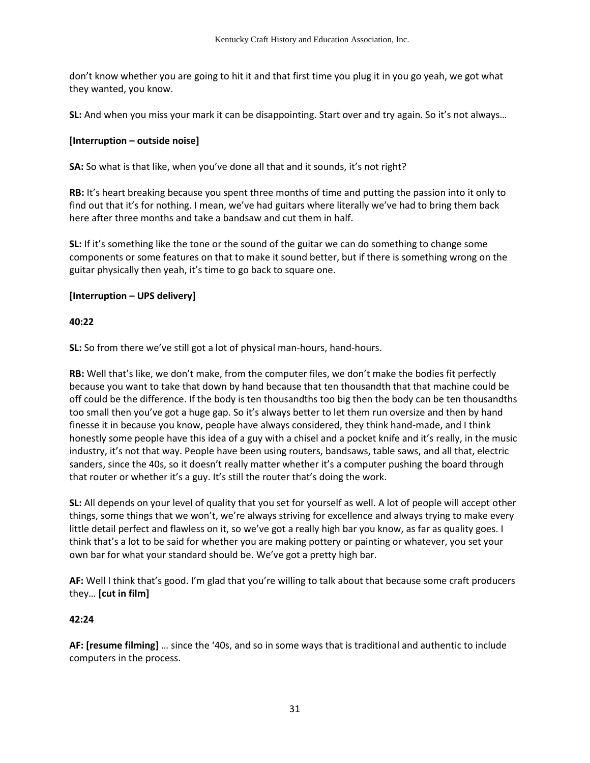don't know whether you are going to hit it and that first time you plug it in you go yeah, we got what they wanted, you know.

**SL:** And when you miss your mark it can be disappointing. Start over and try again. So it's not always…

### **[Interruption – outside noise]**

**SA:** So what is that like, when you've done all that and it sounds, it's not right?

**RB:** It's heart breaking because you spent three months of time and putting the passion into it only to find out that it's for nothing. I mean, we've had guitars where literally we've had to bring them back here after three months and take a bandsaw and cut them in half.

**SL:** If it's something like the tone or the sound of the guitar we can do something to change some components or some features on that to make it sound better, but if there is something wrong on the guitar physically then yeah, it's time to go back to square one.

#### **[Interruption – UPS delivery]**

#### **40:22**

**SL:** So from there we've still got a lot of physical man-hours, hand-hours.

**RB:** Well that's like, we don't make, from the computer files, we don't make the bodies fit perfectly because you want to take that down by hand because that ten thousandth that that machine could be off could be the difference. If the body is ten thousandths too big then the body can be ten thousandths too small then you've got a huge gap. So it's always better to let them run oversize and then by hand finesse it in because you know, people have always considered, they think hand-made, and I think honestly some people have this idea of a guy with a chisel and a pocket knife and it's really, in the music industry, it's not that way. People have been using routers, bandsaws, table saws, and all that, electric sanders, since the 40s, so it doesn't really matter whether it's a computer pushing the board through that router or whether it's a guy. It's still the router that's doing the work.

**SL:** All depends on your level of quality that you set for yourself as well. A lot of people will accept other things, some things that we won't, we're always striving for excellence and always trying to make every little detail perfect and flawless on it, so we've got a really high bar you know, as far as quality goes. I think that's a lot to be said for whether you are making pottery or painting or whatever, you set your own bar for what your standard should be. We've got a pretty high bar.

**AF:** Well I think that's good. I'm glad that you're willing to talk about that because some craft producers they… **[cut in film]** 

### **42:24**

**AF: [resume filming]** … since the '40s, and so in some ways that is traditional and authentic to include computers in the process.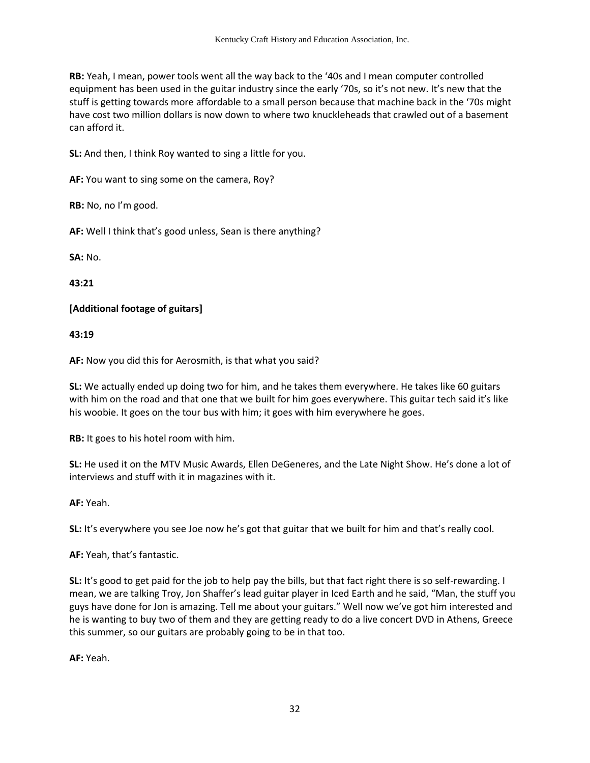**RB:** Yeah, I mean, power tools went all the way back to the '40s and I mean computer controlled equipment has been used in the guitar industry since the early '70s, so it's not new. It's new that the stuff is getting towards more affordable to a small person because that machine back in the '70s might have cost two million dollars is now down to where two knuckleheads that crawled out of a basement can afford it.

**SL:** And then, I think Roy wanted to sing a little for you.

**AF:** You want to sing some on the camera, Roy?

**RB:** No, no I'm good.

**AF:** Well I think that's good unless, Sean is there anything?

**SA:** No.

**43:21**

## **[Additional footage of guitars]**

**43:19**

**AF:** Now you did this for Aerosmith, is that what you said?

**SL:** We actually ended up doing two for him, and he takes them everywhere. He takes like 60 guitars with him on the road and that one that we built for him goes everywhere. This guitar tech said it's like his woobie. It goes on the tour bus with him; it goes with him everywhere he goes.

**RB:** It goes to his hotel room with him.

**SL:** He used it on the MTV Music Awards, Ellen DeGeneres, and the Late Night Show. He's done a lot of interviews and stuff with it in magazines with it.

**AF:** Yeah.

**SL:** It's everywhere you see Joe now he's got that guitar that we built for him and that's really cool.

**AF:** Yeah, that's fantastic.

**SL:** It's good to get paid for the job to help pay the bills, but that fact right there is so self-rewarding. I mean, we are talking Troy, Jon Shaffer's lead guitar player in Iced Earth and he said, "Man, the stuff you guys have done for Jon is amazing. Tell me about your guitars." Well now we've got him interested and he is wanting to buy two of them and they are getting ready to do a live concert DVD in Athens, Greece this summer, so our guitars are probably going to be in that too.

**AF:** Yeah.